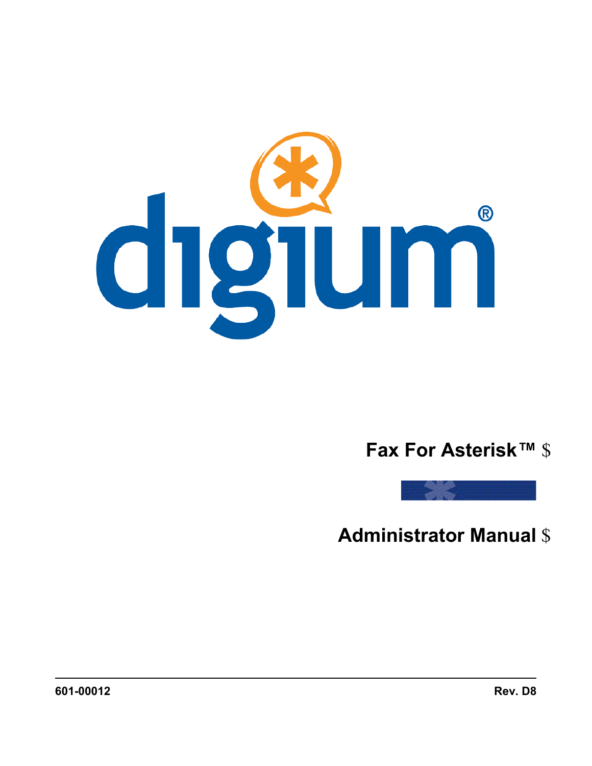

# **Fax For Asterisk™** \$



**Administrator Manual** \$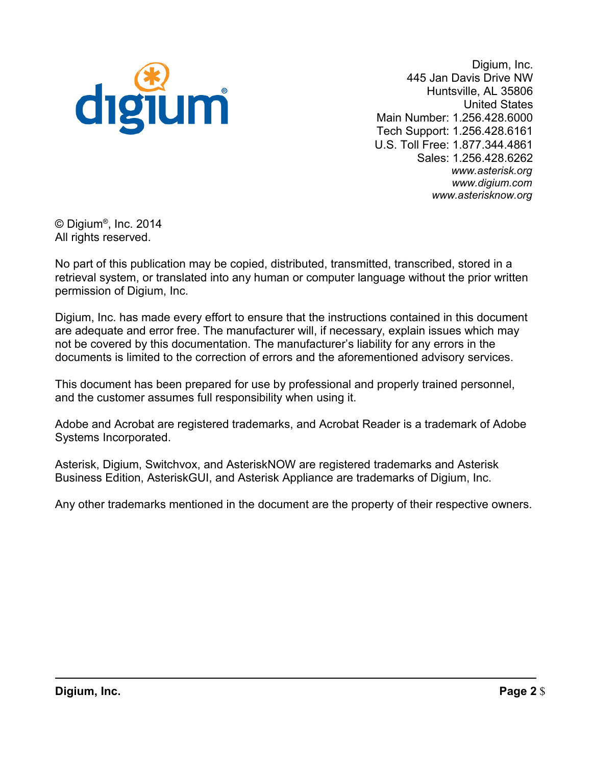

 445 Jan Davis Drive NW Huntsville, AL 35806 Main Number: 1.256.428.6000 Tech Support: 1.256.428.6161 U.S. Toll Free: 1.877.344.4861 Digium, Inc. United States Sales: 1.256.428.6262 *www.asterisk.org www.digium.com www.asterisknow.org* 

 © Digium® , Inc. 2014 All rights reserved.

 No part of this publication may be copied, distributed, transmitted, transcribed, stored in a retrieval system, or translated into any human or computer language without the prior written permission of Digium, Inc.

 Digium, Inc. has made every effort to ensure that the instructions contained in this document are adequate and error free. The manufacturer will, if necessary, explain issues which may not be covered by this documentation. The manufacturer's liability for any errors in the documents is limited to the correction of errors and the aforementioned advisory services.

 This document has been prepared for use by professional and properly trained personnel, and the customer assumes full responsibility when using it.

 Adobe and Acrobat are registered trademarks, and Acrobat Reader is a trademark of Adobe Systems Incorporated.

 Asterisk, Digium, Switchvox, and AsteriskNOW are registered trademarks and Asterisk Business Edition, AsteriskGUI, and Asterisk Appliance are trademarks of Digium, Inc.

Any other trademarks mentioned in the document are the property of their respective owners.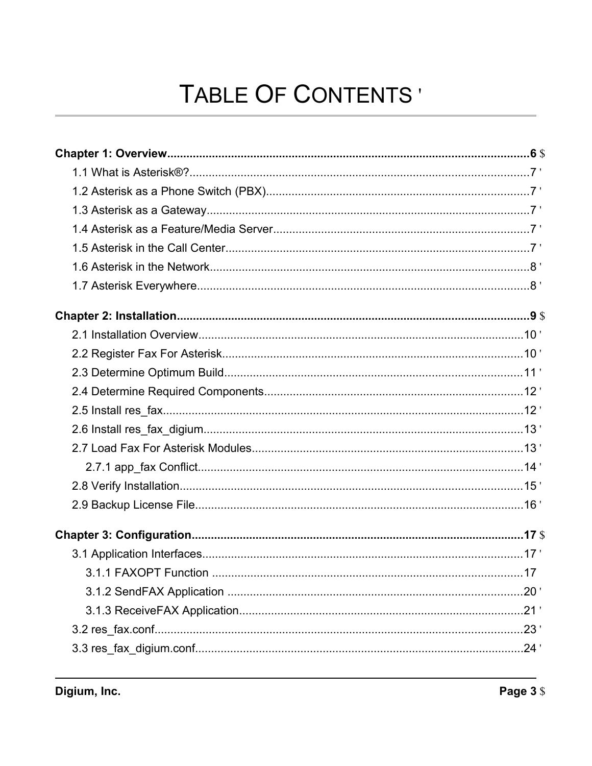# TABLE OF CONTENTS'

| .20' |
|------|
|      |
|      |
| .24' |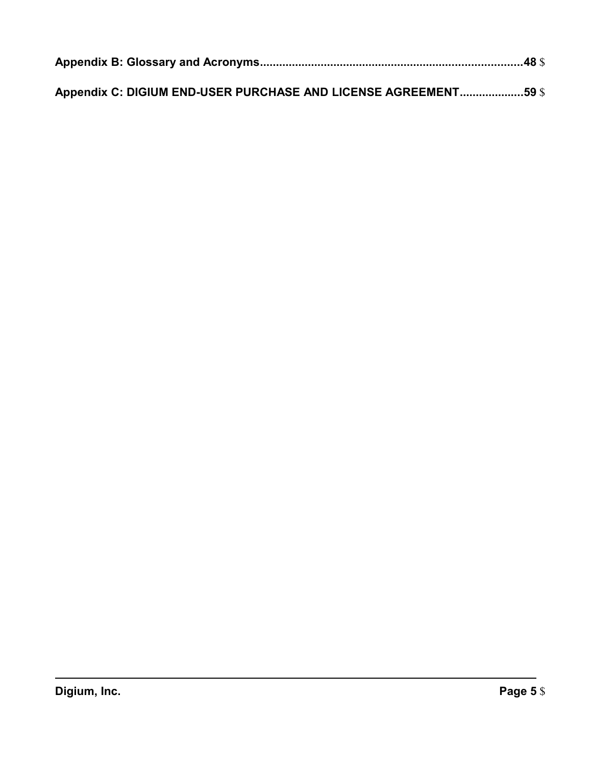| Appendix C: DIGIUM END-USER PURCHASE AND LICENSE AGREEMENT59 \$ |  |
|-----------------------------------------------------------------|--|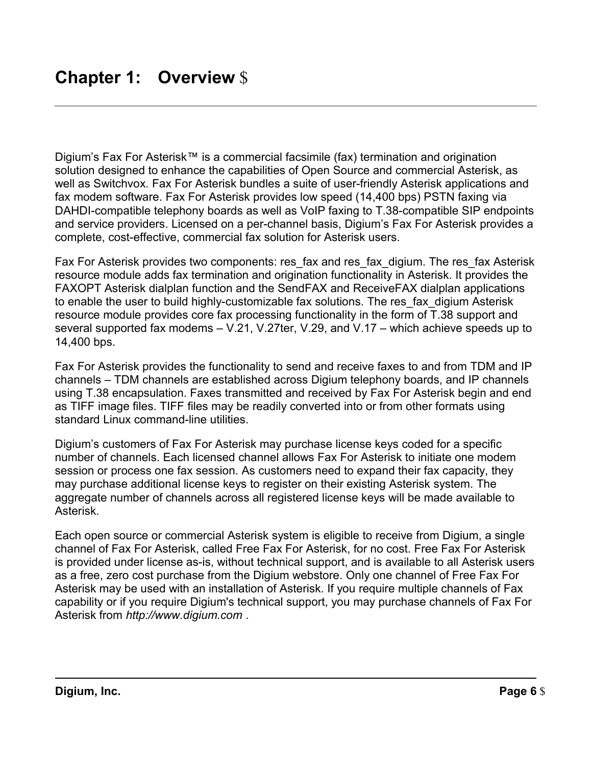Digium's Fax For Asterisk™ is a commercial facsimile (fax) termination and origination solution designed to enhance the capabilities of Open Source and commercial Asterisk, as well as Switchvox. Fax For Asterisk bundles a suite of user-friendly Asterisk applications and fax modem software. Fax For Asterisk provides low speed (14,400 bps) PSTN faxing via DAHDI-compatible telephony boards as well as VoIP faxing to T.38-compatible SIP endpoints and service providers. Licensed on a per-channel basis, Digium's Fax For Asterisk provides a complete, cost-effective, commercial fax solution for Asterisk users.

 Fax For Asterisk provides two components: res\_fax and res\_fax\_digium. The res\_fax Asterisk resource module adds fax termination and origination functionality in Asterisk. It provides the FAXOPT Asterisk dialplan function and the SendFAX and ReceiveFAX dialplan applications to enable the user to build highly-customizable fax solutions. The res\_fax\_digium Asterisk resource module provides core fax processing functionality in the form of T.38 support and several supported fax modems – V.21, V.27ter, V.29, and V.17 – which achieve speeds up to 14,400 bps.

 Fax For Asterisk provides the functionality to send and receive faxes to and from TDM and IP channels – TDM channels are established across Digium telephony boards, and IP channels using T.38 encapsulation. Faxes transmitted and received by Fax For Asterisk begin and end as TIFF image files. TIFF files may be readily converted into or from other formats using standard Linux command-line utilities.

 Digium's customers of Fax For Asterisk may purchase license keys coded for a specific number of channels. Each licensed channel allows Fax For Asterisk to initiate one modem session or process one fax session. As customers need to expand their fax capacity, they may purchase additional license keys to register on their existing Asterisk system. The aggregate number of channels across all registered license keys will be made available to Asterisk.

 Each open source or commercial Asterisk system is eligible to receive from Digium, a single channel of Fax For Asterisk, called Free Fax For Asterisk, for no cost. Free Fax For Asterisk is provided under license as-is, without technical support, and is available to all Asterisk users as a free, zero cost purchase from the Digium webstore. Only one channel of Free Fax For Asterisk may be used with an installation of Asterisk. If you require multiple channels of Fax capability or if you require Digium's technical support, you may purchase channels of Fax For Asterisk from *http://www.digium.com* .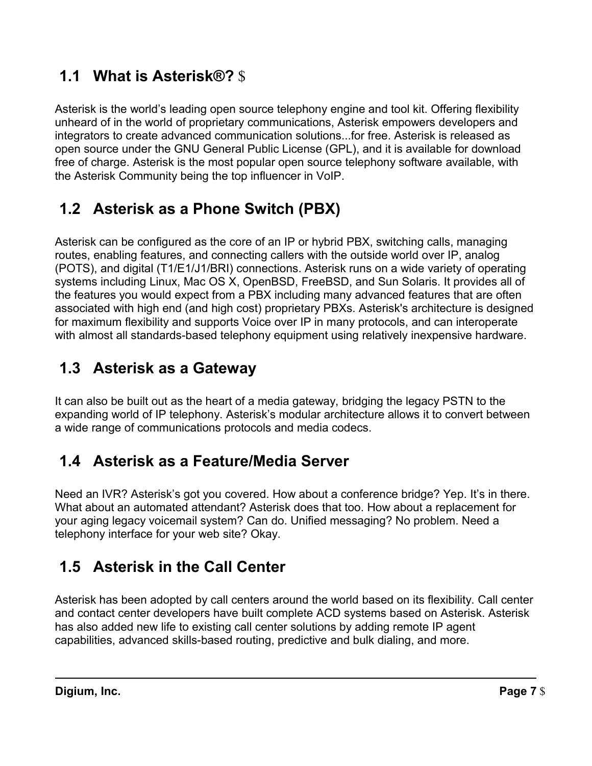# **1.1 What is Asterisk®?** \$

 Asterisk is the world's leading open source telephony engine and tool kit. Offering flexibility unheard of in the world of proprietary communications, Asterisk empowers developers and integrators to create advanced communication solutions...for free. Asterisk is released as open source under the GNU General Public License (GPL), and it is available for download free of charge. Asterisk is the most popular open source telephony software available, with the Asterisk Community being the top influencer in VoIP.

# **1.2 Asterisk as a Phone Switch (PBX)**

 Asterisk can be configured as the core of an IP or hybrid PBX, switching calls, managing routes, enabling features, and connecting callers with the outside world over IP, analog (POTS), and digital (T1/E1/J1/BRI) connections. Asterisk runs on a wide variety of operating systems including Linux, Mac OS X, OpenBSD, FreeBSD, and Sun Solaris. It provides all of the features you would expect from a PBX including many advanced features that are often associated with high end (and high cost) proprietary PBXs. Asterisk's architecture is designed for maximum flexibility and supports Voice over IP in many protocols, and can interoperate with almost all standards-based telephony equipment using relatively inexpensive hardware.

# **1.3 Asterisk as a Gateway**

 It can also be built out as the heart of a media gateway, bridging the legacy PSTN to the expanding world of IP telephony. Asterisk's modular architecture allows it to convert between a wide range of communications protocols and media codecs.

# **1.4 Asterisk as a Feature/Media Server**

 Need an IVR? Asterisk's got you covered. How about a conference bridge? Yep. It's in there. What about an automated attendant? Asterisk does that too. How about a replacement for your aging legacy voicemail system? Can do. Unified messaging? No problem. Need a telephony interface for your web site? Okay.

# **1.5 Asterisk in the Call Center**

 Asterisk has been adopted by call centers around the world based on its flexibility. Call center and contact center developers have built complete ACD systems based on Asterisk. Asterisk has also added new life to existing call center solutions by adding remote IP agent capabilities, advanced skills-based routing, predictive and bulk dialing, and more.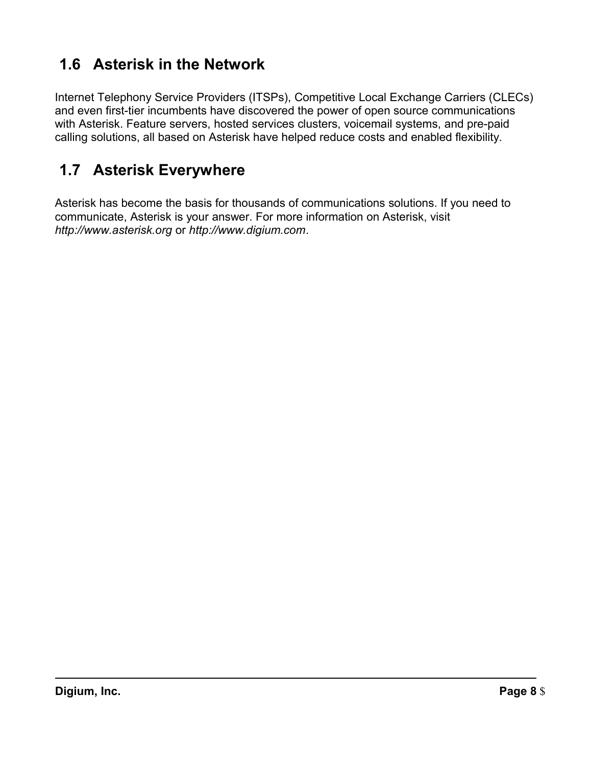# **1.6 Asterisk in the Network**

 Internet Telephony Service Providers (ITSPs), Competitive Local Exchange Carriers (CLECs) and even first-tier incumbents have discovered the power of open source communications with Asterisk. Feature servers, hosted services clusters, voicemail systems, and pre-paid calling solutions, all based on Asterisk have helped reduce costs and enabled flexibility.

# **1.7 Asterisk Everywhere**

 Asterisk has become the basis for thousands of communications solutions. If you need to communicate, Asterisk is your answer. For more information on Asterisk, visit *http://www.asterisk.org* or *http://www.digium.com*.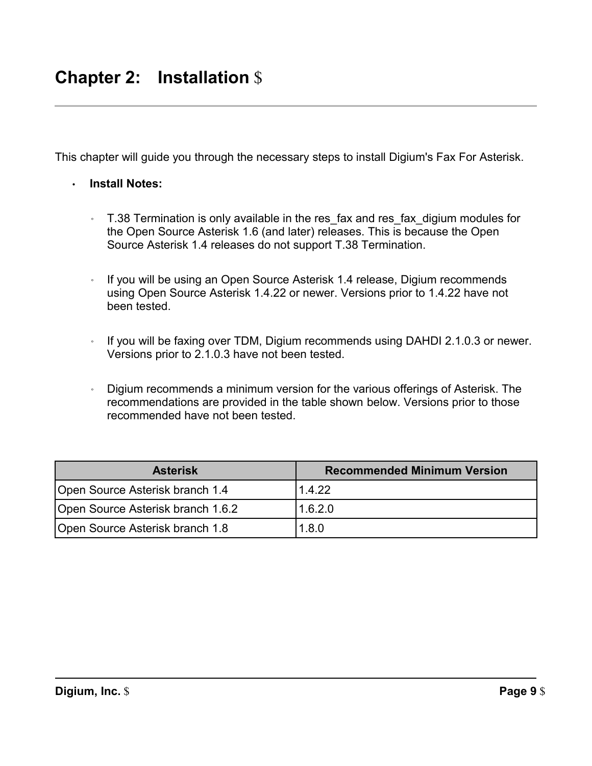This chapter will guide you through the necessary steps to install Digium's Fax For Asterisk.

- **Install Notes:** 
	- ◦ T.38 Termination is only available in the res\_fax and res\_fax\_digium modules for the Open Source Asterisk 1.6 (and later) releases. This is because the Open Source Asterisk 1.4 releases do not support T.38 Termination.
	- ◦ If you will be using an Open Source Asterisk 1.4 release, Digium recommends using Open Source Asterisk 1.4.22 or newer. Versions prior to 1.4.22 have not been tested.
	- ◦ If you will be faxing over TDM, Digium recommends using DAHDI 2.1.0.3 or newer. Versions prior to 2.1.0.3 have not been tested.
	- ◦ Digium recommends a minimum version for the various offerings of Asterisk. The recommendations are provided in the table shown below. Versions prior to those recommended have not been tested.

| <b>Asterisk</b>                   | <b>Recommended Minimum Version</b> |
|-----------------------------------|------------------------------------|
| Open Source Asterisk branch 1.4   | 1.4.22                             |
| Open Source Asterisk branch 1.6.2 | 1.6.2.0                            |
| Open Source Asterisk branch 1.8   | 1.8.0                              |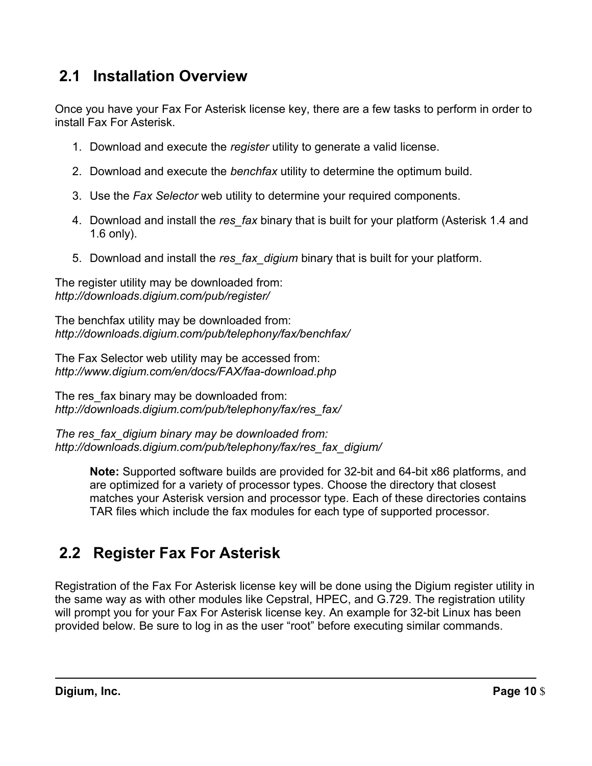#### $2.1$ **2.1 Installation Overview**

 Once you have your Fax For Asterisk license key, there are a few tasks to perform in order to install Fax For Asterisk.

- 1. Download and execute the *register* utility to generate a valid license.
- 2. Download and execute the *benchfax* utility to determine the optimum build.
- 3. Use the *Fax Selector* web utility to determine your required components.
- 4. Download and install the *res\_fax* binary that is built for your platform (Asterisk 1.4 and 1.6 only).
- 5. Download and install the *res\_fax\_digium* binary that is built for your platform.

 The register utility may be downloaded from: *http://downloads.digium.com/pub/register/* 

 The benchfax utility may be downloaded from: *http://downloads.digium.com/pub/telephony/fax/benchfax/* 

 The Fax Selector web utility may be accessed from: *http://www.digium.com/en/docs/FAX/faa-download.php* 

 The res\_fax binary may be downloaded from: *http://downloads.digium.com/pub/telephony/fax/res\_fax/* 

 *The res\_fax\_digium binary may be downloaded from: http://downloads.digium.com/pub/telephony/fax/res\_fax\_digium/* 

> **Note:** Supported software builds are provided for 32-bit and 64-bit x86 platforms, and are optimized for a variety of processor types. Choose the directory that closest matches your Asterisk version and processor type. Each of these directories contains TAR files which include the fax modules for each type of supported processor.

# **2.2 Register Fax For Asterisk**

 Registration of the Fax For Asterisk license key will be done using the Digium register utility in the same way as with other modules like Cepstral, HPEC, and G.729. The registration utility will prompt you for your Fax For Asterisk license key. An example for 32-bit Linux has been provided below. Be sure to log in as the user "root" before executing similar commands.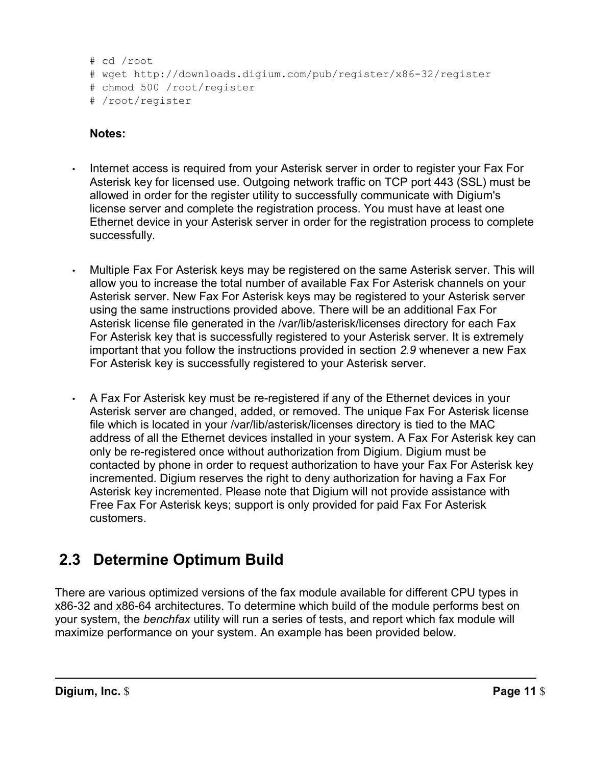```
# cd /root
```

```
# wget http://downloads.digium.com/pub/register/x86-32/register
```

```
# chmod 500 /root/register
```

```
# /root/register
```
# **Notes:**

- • Internet access is required from your Asterisk server in order to register your Fax For Asterisk key for licensed use. Outgoing network traffic on TCP port 443 (SSL) must be license server and complete the registration process. You must have at least one Ethernet device in your Asterisk server in order for the registration process to complete allowed in order for the register utility to successfully communicate with Digium's successfully.
- • Multiple Fax For Asterisk keys may be registered on the same Asterisk server. This will allow you to increase the total number of available Fax For Asterisk channels on your Asterisk server. New Fax For Asterisk keys may be registered to your Asterisk server using the same instructions provided above. There will be an additional Fax For Asterisk license file generated in the /var/lib/asterisk/licenses directory for each Fax For Asterisk key that is successfully registered to your Asterisk server. It is extremely important that you follow the instructions provided in section *2.9* whenever a new Fax For Asterisk key is successfully registered to your Asterisk server.
- • A Fax For Asterisk key must be re-registered if any of the Ethernet devices in your Asterisk server are changed, added, or removed. The unique Fax For Asterisk license file which is located in your /var/lib/asterisk/licenses directory is tied to the MAC address of all the Ethernet devices installed in your system. A Fax For Asterisk key can only be re-registered once without authorization from Digium. Digium must be contacted by phone in order to request authorization to have your Fax For Asterisk key incremented. Digium reserves the right to deny authorization for having a Fax For Asterisk key incremented. Please note that Digium will not provide assistance with Free Fax For Asterisk keys; support is only provided for paid Fax For Asterisk customers.

# **2.3 Determine Optimum Build**

 There are various optimized versions of the fax module available for different CPU types in x86-32 and x86-64 architectures. To determine which build of the module performs best on your system, the *benchfax* utility will run a series of tests, and report which fax module will maximize performance on your system. An example has been provided below.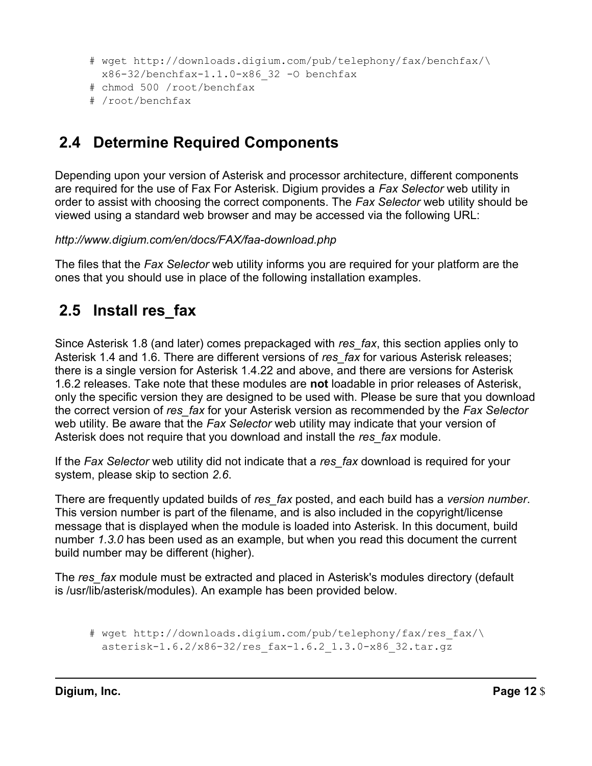```
# wget http://downloads.digium.com/pub/telephony/fax/benchfax/\
  x86-32/benchfax-1.1.0-x86_32 -O benchfax
```
- # chmod 500 /root/benchfax
- # /root/benchfax

# **2.4 Determine Required Components**

 Depending upon your version of Asterisk and processor architecture, different components are required for the use of Fax For Asterisk. Digium provides a *Fax Selector* web utility in order to assist with choosing the correct components. The *Fax Selector* web utility should be viewed using a standard web browser and may be accessed via the following URL:

*http://www.digium.com/en/docs/FAX/faa-download.php* 

 The files that the *Fax Selector* web utility informs you are required for your platform are the ones that you should use in place of the following installation examples.

# **2.5 Install res\_fax**

 Since Asterisk 1.8 (and later) comes prepackaged with *res\_fax*, this section applies only to Asterisk 1.4 and 1.6. There are different versions of *res\_fax* for various Asterisk releases; there is a single version for Asterisk 1.4.22 and above, and there are versions for Asterisk 1.6.2 releases. Take note that these modules are **not** loadable in prior releases of Asterisk, only the specific version they are designed to be used with. Please be sure that you download the correct version of *res\_fax* for your Asterisk version as recommended by the *Fax Selector*  web utility. Be aware that the *Fax Selector* web utility may indicate that your version of Asterisk does not require that you download and install the *res\_fax* module.

 If the *Fax Selector* web utility did not indicate that a *res\_fax* download is required for your system, please skip to section *2.6*.

 There are frequently updated builds of *res\_fax* posted, and each build has a *version number*. This version number is part of the filename, and is also included in the copyright/license message that is displayed when the module is loaded into Asterisk. In this document, build number *1.3.0* has been used as an example, but when you read this document the current build number may be different (higher).

 The *res\_fax* module must be extracted and placed in Asterisk's modules directory (default is /usr/lib/asterisk/modules). An example has been provided below.

# wget http://downloads.digium.com/pub/telephony/fax/res\_fax/\ asterisk-1.6.2/x86-32/res\_fax-1.6.2\_1.3.0-x86\_32.tar.gz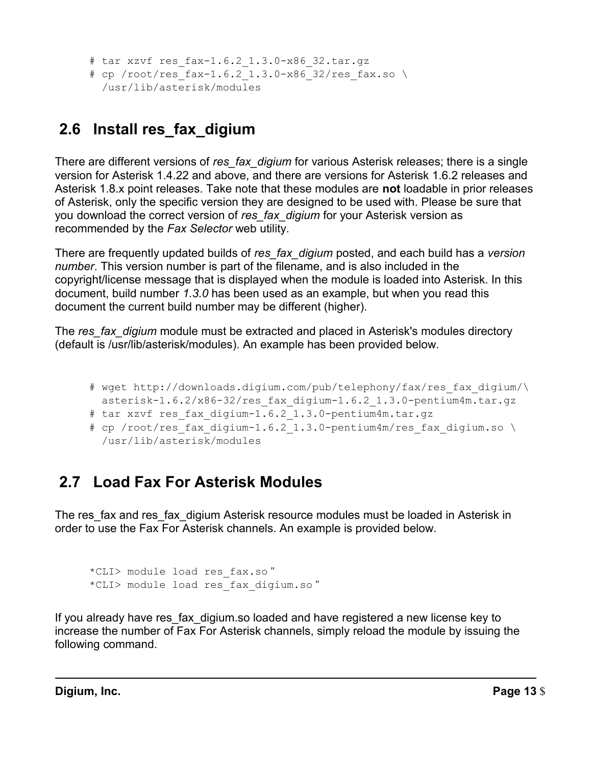```
# tar xzvf res_fax-1.6.2_1.3.0-x86_32.tar.gz 
# cp /root/res fax-1.6.2 1.3.0-x86 32/res fax.so \
   /usr/lib/asterisk/modules
```
# **2.6 Install res\_fax\_digium**

 There are different versions of *res\_fax\_digium* for various Asterisk releases; there is a single version for Asterisk 1.4.22 and above, and there are versions for Asterisk 1.6.2 releases and Asterisk 1.8.x point releases. Take note that these modules are **not** loadable in prior releases of Asterisk, only the specific version they are designed to be used with. Please be sure that you download the correct version of *res\_fax\_digium* for your Asterisk version as recommended by the *Fax Selector* web utility.

 There are frequently updated builds of *res\_fax\_digium* posted, and each build has a *version number*. This version number is part of the filename, and is also included in the copyright/license message that is displayed when the module is loaded into Asterisk. In this document, build number *1.3.0* has been used as an example, but when you read this document the current build number may be different (higher).

 The *res\_fax\_digium* module must be extracted and placed in Asterisk's modules directory (default is /usr/lib/asterisk/modules). An example has been provided below.

- # wget http://downloads.digium.com/pub/telephony/fax/res\_fax\_digium/\ asterisk-1.6.2/x86-32/res\_fax\_digium-1.6.2\_1.3.0-pentium4m.tar.gz
- # tar xzvf res fax digium-1.6.2 1.3.0-pentium4m.tar.gz
- # cp /root/res fax digium-1.6.2 1.3.0-pentium4m/res fax digium.so \ /usr/lib/asterisk/modules

# **2.7 Load Fax For Asterisk Modules**

 The res\_fax and res\_fax\_digium Asterisk resource modules must be loaded in Asterisk in order to use the Fax For Asterisk channels. An example is provided below.

```
*CLI> module load res_fax.so "
*CLI> module load res_fax_digium.so "
```
 If you already have res\_fax\_digium.so loaded and have registered a new license key to increase the number of Fax For Asterisk channels, simply reload the module by issuing the following command.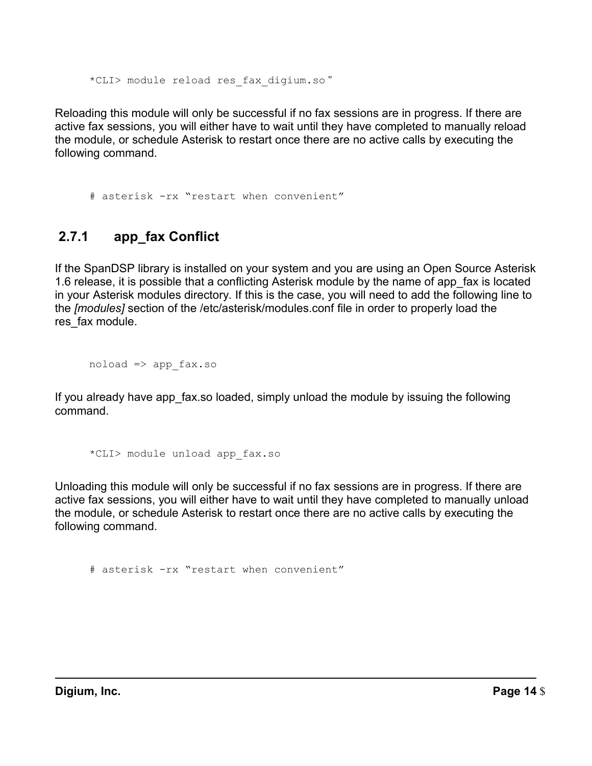\*CLI> module reload res\_fax\_digium.so "

 Reloading this module will only be successful if no fax sessions are in progress. If there are active fax sessions, you will either have to wait until they have completed to manually reload the module, or schedule Asterisk to restart once there are no active calls by executing the following command.

# asterisk -rx "restart when convenient"

# **2.7.1 app\_fax Conflict**

 If the SpanDSP library is installed on your system and you are using an Open Source Asterisk 1.6 release, it is possible that a conflicting Asterisk module by the name of app\_fax is located in your Asterisk modules directory. If this is the case, you will need to add the following line to the *[modules]* section of the /etc/asterisk/modules.conf file in order to properly load the res fax module.

 $noload \Rightarrow app$  fax.so

 If you already have app\_fax.so loaded, simply unload the module by issuing the following command.

\*CLI> module unload app\_fax.so

 Unloading this module will only be successful if no fax sessions are in progress. If there are active fax sessions, you will either have to wait until they have completed to manually unload the module, or schedule Asterisk to restart once there are no active calls by executing the following command.

# asterisk -rx "restart when convenient"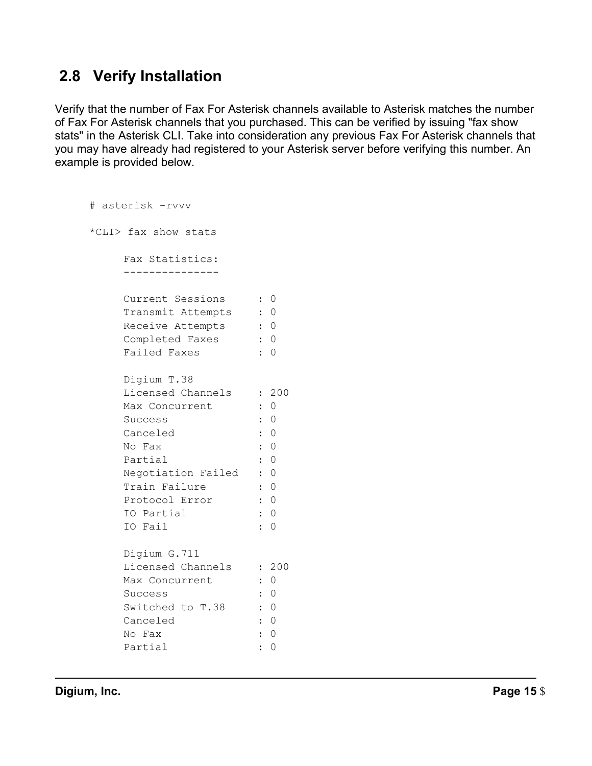# **2.8 Verify Installation**

 Verify that the number of Fax For Asterisk channels available to Asterisk matches the number of Fax For Asterisk channels that you purchased. This can be verified by issuing "fax show stats" in the Asterisk CLI. Take into consideration any previous Fax For Asterisk channels that you may have already had registered to your Asterisk server before verifying this number. An example is provided below.

```
 
Current Sessions : 0 

Transmit Attempts : 0 
    Failed Faxes : 0

Licensed Channels : 200 
    Max Concurrent : 0
    Success : 0

Canceled : 0 
    No Fax

Train Failure : 0 
                 \cdot 0

IO Partial : 0 
    IO Fail

Licensed Channels : 200 
    Max Concurrent : 0
    Success

Canceled : 0 
    No Fax \qquad \qquad : 0Partial : 0
# asterisk -rvvv 
*CLI> fax show stats 
    Fax Statistics: 
    ---------------
    Receive Attempts : 0 
    Completed Faxes : 0 
    Digium T.38 
    No Fax : 0
    Partial : 0
    Negotiation Failed : 0 
    Protocol Error
    IO Fail : 0 
    Digium G.711 
    Success : 0
    Switched to T.38 : 0
```
**Digium, Inc.** Page 15 \$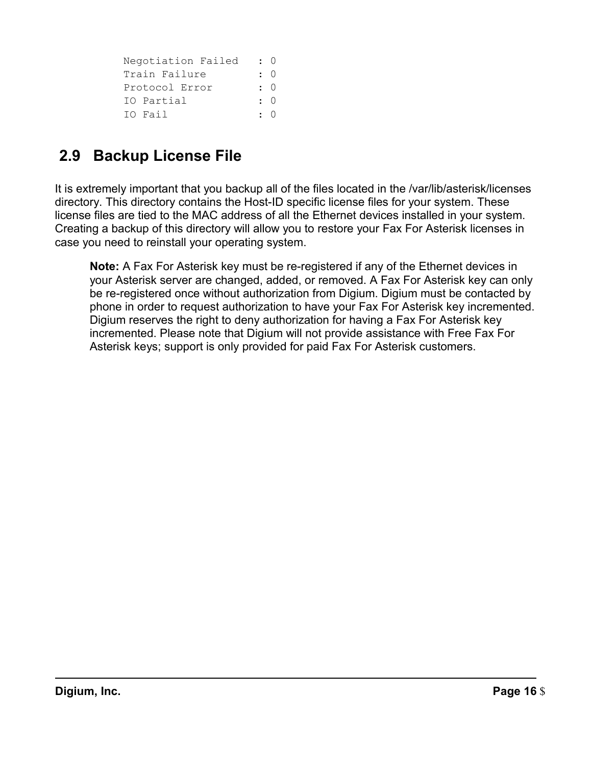| Negotiation Failed | $\colon 0$ |
|--------------------|------------|
| Train Failure      | $\colon 0$ |
| Protocol Error     | $\colon 0$ |
| IO Partial         | $\cdot$ 0  |
| IO Fail            | $\cdot$ 0  |

# **2.9 Backup License File**

 It is extremely important that you backup all of the files located in the /var/lib/asterisk/licenses directory. This directory contains the Host-ID specific license files for your system. These license files are tied to the MAC address of all the Ethernet devices installed in your system. Creating a backup of this directory will allow you to restore your Fax For Asterisk licenses in case you need to reinstall your operating system.

 **Note:** A Fax For Asterisk key must be re-registered if any of the Ethernet devices in your Asterisk server are changed, added, or removed. A Fax For Asterisk key can only be re-registered once without authorization from Digium. Digium must be contacted by phone in order to request authorization to have your Fax For Asterisk key incremented. Digium reserves the right to deny authorization for having a Fax For Asterisk key incremented. Please note that Digium will not provide assistance with Free Fax For Asterisk keys; support is only provided for paid Fax For Asterisk customers.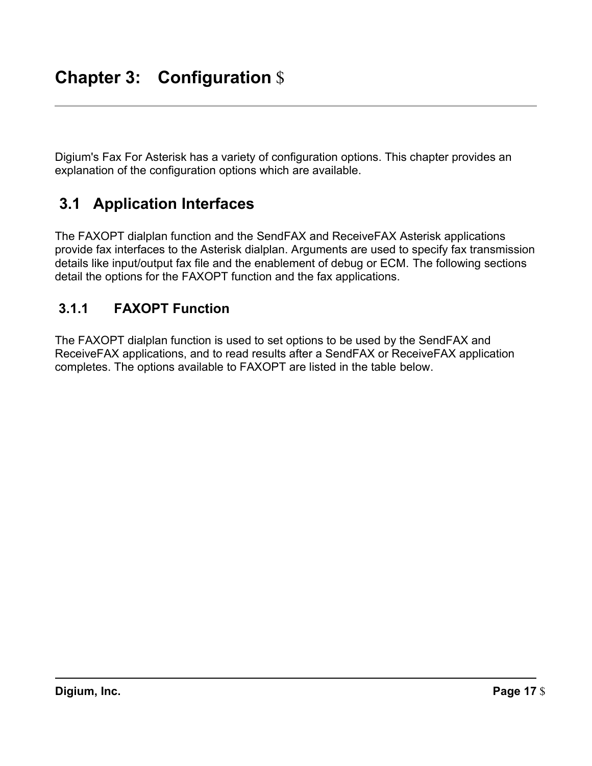Digium's Fax For Asterisk has a variety of configuration options. This chapter provides an explanation of the configuration options which are available.

#### $3.1$ **3.1 Application Interfaces**

 The FAXOPT dialplan function and the SendFAX and ReceiveFAX Asterisk applications provide fax interfaces to the Asterisk dialplan. Arguments are used to specify fax transmission details like input/output fax file and the enablement of debug or ECM. The following sections detail the options for the FAXOPT function and the fax applications.

# **3.1.1 FAXOPT Function**

 The FAXOPT dialplan function is used to set options to be used by the SendFAX and ReceiveFAX applications, and to read results after a SendFAX or ReceiveFAX application completes. The options available to FAXOPT are listed in the table below.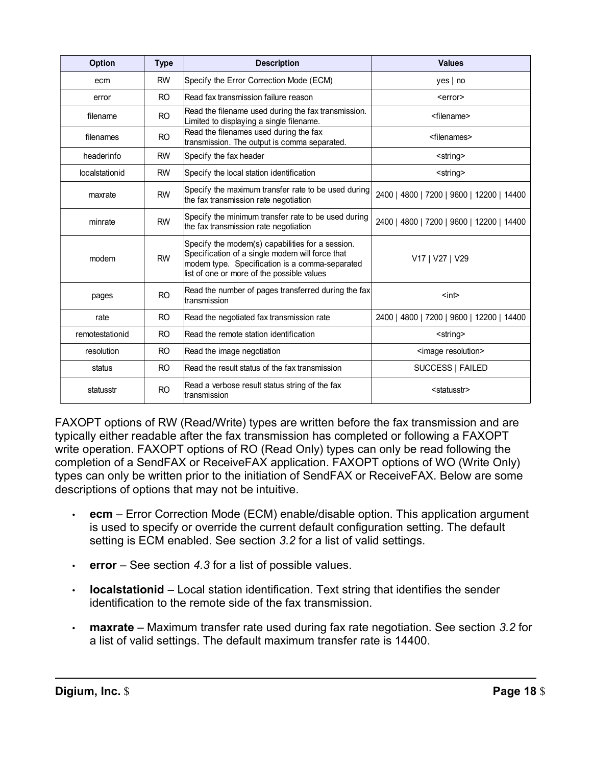| <b>Option</b>   | <b>Type</b>    | <b>Description</b>                                                                                                                                                                                  | <b>Values</b>                             |
|-----------------|----------------|-----------------------------------------------------------------------------------------------------------------------------------------------------------------------------------------------------|-------------------------------------------|
| ecm             | <b>RW</b>      | Specify the Error Correction Mode (ECM)                                                                                                                                                             | yes   no                                  |
| error           | RO.            | Read fax transmission failure reason                                                                                                                                                                | <error></error>                           |
| filename        | R <sub>O</sub> | Read the filename used during the fax transmission.<br>Limited to displaying a single filename.                                                                                                     | <filename></filename>                     |
| filenames       | R <sub>O</sub> | Read the filenames used during the fax<br>transmission. The output is comma separated.                                                                                                              | <filenames></filenames>                   |
| headerinfo      | <b>RW</b>      | Specify the fax header                                                                                                                                                                              | <string></string>                         |
| localstationid  | <b>RW</b>      | Specify the local station identification                                                                                                                                                            | <string></string>                         |
| maxrate         | <b>RW</b>      | Specify the maximum transfer rate to be used during<br>the fax transmission rate negotiation                                                                                                        | 2400   4800   7200   9600   12200   14400 |
| minrate         | <b>RW</b>      | Specify the minimum transfer rate to be used during<br>the fax transmission rate negotiation                                                                                                        | 2400   4800   7200   9600   12200   14400 |
| modem           | <b>RW</b>      | Specify the modem(s) capabilities for a session.<br>Specification of a single modem will force that<br>modem type. Specification is a comma-separated<br>list of one or more of the possible values | V17   V27   V29                           |
| pages           | R <sub>O</sub> | Read the number of pages transferred during the fax<br>transmission                                                                                                                                 | $int$                                     |
| rate            | R <sub>O</sub> | Read the negotiated fax transmission rate                                                                                                                                                           | 2400   4800   7200   9600   12200   14400 |
| remotestationid | R <sub>O</sub> | Read the remote station identification                                                                                                                                                              | <string></string>                         |
| resolution      | RO.            | Read the image negotiation                                                                                                                                                                          | <image resolution=""/>                    |
| status          | R <sub>O</sub> | Read the result status of the fax transmission                                                                                                                                                      | SUCCESS   FAILED                          |
| statusstr       | <b>RO</b>      | Read a verbose result status string of the fax<br>transmission                                                                                                                                      | <statusstr></statusstr>                   |

 FAXOPT options of RW (Read/Write) types are written before the fax transmission and are typically either readable after the fax transmission has completed or following a FAXOPT write operation. FAXOPT options of RO (Read Only) types can only be read following the completion of a SendFAX or ReceiveFAX application. FAXOPT options of WO (Write Only) types can only be written prior to the initiation of SendFAX or ReceiveFAX. Below are some descriptions of options that may not be intuitive.

- • **ecm**  Error Correction Mode (ECM) enable/disable option. This application argument is used to specify or override the current default configuration setting. The default setting is ECM enabled. See section *3.2* for a list of valid settings.
- **error**  See section *4.3* for a list of possible values.
- • **localstationid**  Local station identification. Text string that identifies the sender identification to the remote side of the fax transmission.
- • **maxrate**  Maximum transfer rate used during fax rate negotiation. See section *3.2* for a list of valid settings. The default maximum transfer rate is 14400.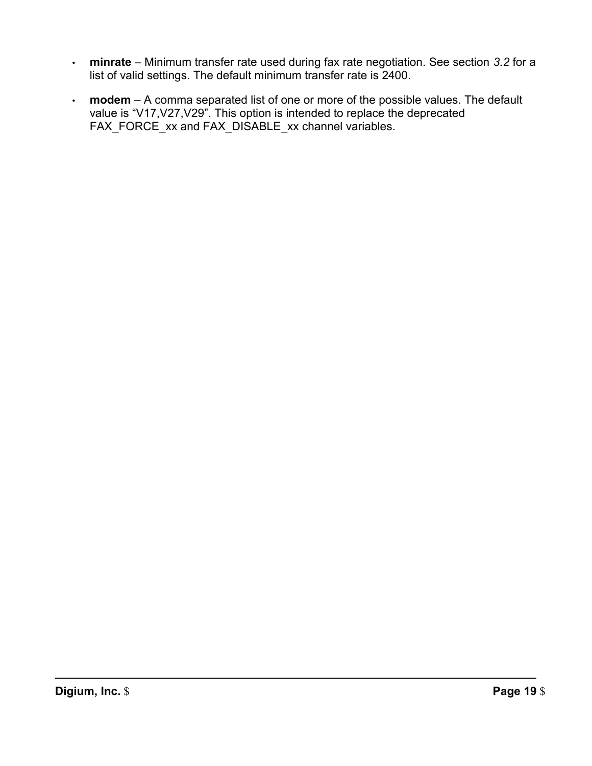- • **minrate**  Minimum transfer rate used during fax rate negotiation. See section *3.2* for a list of valid settings. The default minimum transfer rate is 2400.
- • **modem**  A comma separated list of one or more of the possible values. The default value is "V17,V27,V29". This option is intended to replace the deprecated FAX\_FORCE\_xx and FAX\_DISABLE\_xx channel variables.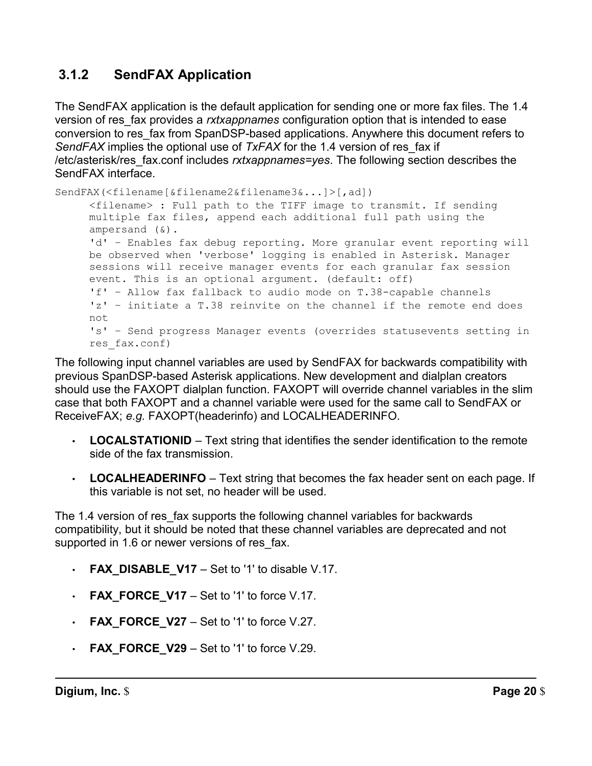# **3.1.2 SendFAX Application**

 The SendFAX application is the default application for sending one or more fax files. The 1.4 version of res\_fax provides a *rxtxappnames* configuration option that is intended to ease conversion to res\_fax from SpanDSP-based applications. Anywhere this document refers to *SendFAX* implies the optional use of *TxFAX* for the 1.4 version of res\_fax if /etc/asterisk/res\_fax.conf includes *rxtxappnames=yes*. The following section describes the SendFAX interface.

```
SendFAX(<filename[&filename2&filename3&...]>[,ad]) 
     <filename> : Full path to the TIFF image to transmit. If sending 
     multiple fax files, append each additional full path using the 
     ampersand (&). 
     'd' – Enables fax debug reporting. More granular event reporting will 
     be observed when 'verbose' logging is enabled in Asterisk. Manager 
     sessions will receive manager events for each granular fax session 
     event. This is an optional argument. (default: off) 
     'f' – Allow fax fallback to audio mode on T.38-capable channels 
     'z' – initiate a T.38 reinvite on the channel if the remote end does 
     not 
     's' – Send progress Manager events (overrides statusevents setting in 
     res_fax.conf)
```
 The following input channel variables are used by SendFAX for backwards compatibility with previous SpanDSP-based Asterisk applications. New development and dialplan creators should use the FAXOPT dialplan function. FAXOPT will override channel variables in the slim case that both FAXOPT and a channel variable were used for the same call to SendFAX or ReceiveFAX; *e.g.* FAXOPT(headerinfo) and LOCALHEADERINFO.

- • **LOCALSTATIONID**  Text string that identifies the sender identification to the remote side of the fax transmission.
- • **LOCALHEADERINFO**  Text string that becomes the fax header sent on each page. If this variable is not set, no header will be used.

 The 1.4 version of res\_fax supports the following channel variables for backwards compatibility, but it should be noted that these channel variables are deprecated and not supported in 1.6 or newer versions of res\_fax.

- **FAX\_DISABLE\_V17**  Set to '1' to disable V.17.
- **FAX\_FORCE\_V17**  Set to '1' to force V.17.
- **FAX\_FORCE\_V27**  Set to '1' to force V.27.
- **FAX\_FORCE\_V29**  Set to '1' to force V.29.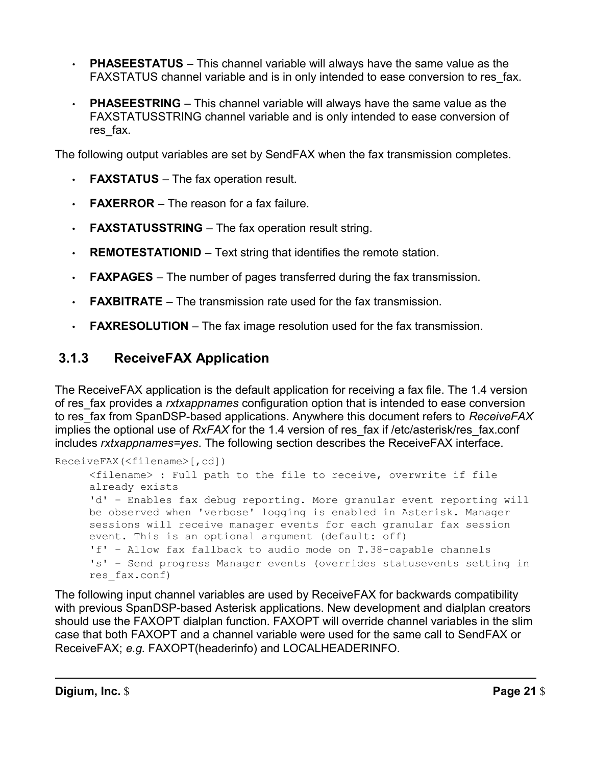- • **PHASEESTATUS**  This channel variable will always have the same value as the FAXSTATUS channel variable and is in only intended to ease conversion to res\_fax.
- FAXSTATUSSTRING channel variable and is only intended to ease conversion of • **PHASEESTRING** – This channel variable will always have the same value as the res fax.

The following output variables are set by SendFAX when the fax transmission completes.

- **FAXSTATUS**  The fax operation result.
- **FAXERROR**  The reason for a fax failure.
- **FAXSTATUSSTRING**  The fax operation result string.
- **REMOTESTATIONID**  Text string that identifies the remote station.
- **FAXPAGES**  The number of pages transferred during the fax transmission.
- **FAXBITRATE**  The transmission rate used for the fax transmission.
- **FAXRESOLUTION**  The fax image resolution used for the fax transmission.

# **3.1.3 ReceiveFAX Application**

 The ReceiveFAX application is the default application for receiving a fax file. The 1.4 version of res\_fax provides a *rxtxappnames* configuration option that is intended to ease conversion to res\_fax from SpanDSP-based applications. Anywhere this document refers to *ReceiveFAX*  implies the optional use of *RxFAX* for the 1.4 version of res\_fax if /etc/asterisk/res\_fax.conf includes *rxtxappnames=yes*. The following section describes the ReceiveFAX interface.

```
ReceiveFAX(<filename>[,cd]) 
     <filename> : Full path to the file to receive, overwrite if file 
     already exists 
     'd' – Enables fax debug reporting. More granular event reporting will 
     be observed when 'verbose' logging is enabled in Asterisk. Manager 
     sessions will receive manager events for each granular fax session 
     event. This is an optional argument (default: off) 
     'f' – Allow fax fallback to audio mode on T.38-capable channels 
     's' – Send progress Manager events (overrides statusevents setting in 
     res_fax.conf)
```
 The following input channel variables are used by ReceiveFAX for backwards compatibility with previous SpanDSP-based Asterisk applications. New development and dialplan creators should use the FAXOPT dialplan function. FAXOPT will override channel variables in the slim case that both FAXOPT and a channel variable were used for the same call to SendFAX or ReceiveFAX; *e.g.* FAXOPT(headerinfo) and LOCALHEADERINFO.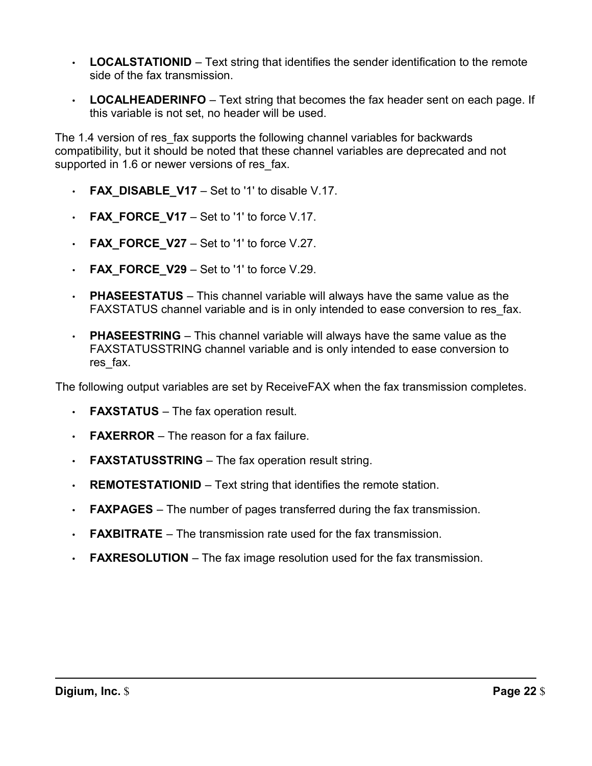- • **LOCALSTATIONID**  Text string that identifies the sender identification to the remote side of the fax transmission.
- • **LOCALHEADERINFO**  Text string that becomes the fax header sent on each page. If this variable is not set, no header will be used.

 The 1.4 version of res\_fax supports the following channel variables for backwards compatibility, but it should be noted that these channel variables are deprecated and not supported in 1.6 or newer versions of res\_fax.

- **FAX\_DISABLE\_V17**  Set to '1' to disable V.17.
- **FAX\_FORCE\_V17**  Set to '1' to force V.17.
- **FAX\_FORCE\_V27**  Set to '1' to force V.27.
- **FAX\_FORCE\_V29**  Set to '1' to force V.29.
- • **PHASEESTATUS**  This channel variable will always have the same value as the FAXSTATUS channel variable and is in only intended to ease conversion to res\_fax.
- • **PHASEESTRING**  This channel variable will always have the same value as the FAXSTATUSSTRING channel variable and is only intended to ease conversion to res fax.

The following output variables are set by ReceiveFAX when the fax transmission completes.

- **FAXSTATUS**  The fax operation result.
- **FAXERROR**  The reason for a fax failure.
- **FAXSTATUSSTRING**  The fax operation result string.
- **REMOTESTATIONID**  Text string that identifies the remote station.
- **FAXPAGES**  The number of pages transferred during the fax transmission.
- **FAXBITRATE**  The transmission rate used for the fax transmission.
- **FAXRESOLUTION**  The fax image resolution used for the fax transmission.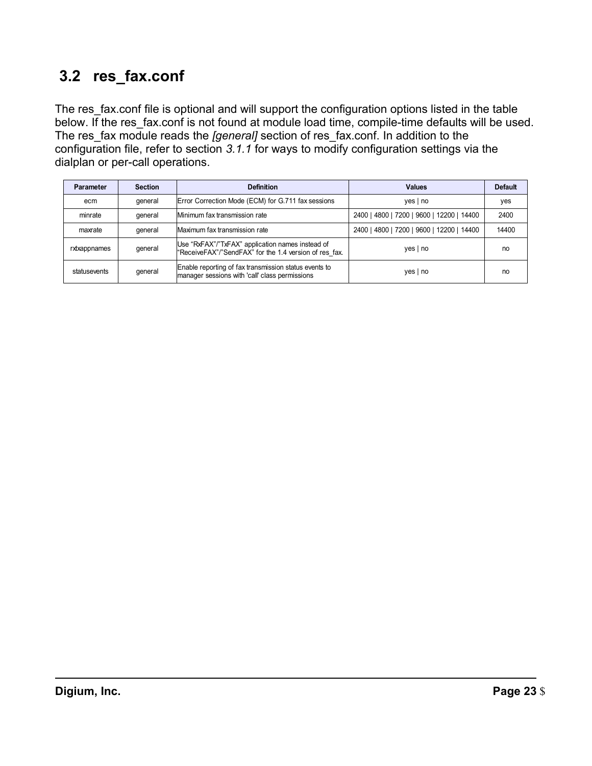# **3.2 res\_fax.conf**

 The res\_fax.conf file is optional and will support the configuration options listed in the table below. If the res\_fax.conf is not found at module load time, compile-time defaults will be used. The res\_fax module reads the *[general]* section of res\_fax.conf. In addition to the configuration file, refer to section *3.1.1* for ways to modify configuration settings via the dialplan or per-call operations.

| Parameter    | <b>Section</b> | <b>Definition</b>                                                                                                           | <b>Values</b>                              | <b>Default</b> |
|--------------|----------------|-----------------------------------------------------------------------------------------------------------------------------|--------------------------------------------|----------------|
| ecm          | qeneral        | Error Correction Mode (ECM) for G.711 fax sessions                                                                          | yes   no                                   | yes            |
| minrate      | qeneral        | Minimum fax transmission rate                                                                                               | 7200   9600   12200   14400<br>2400   4800 | 2400           |
| maxrate      | general        | Maximum fax transmission rate                                                                                               | 2400   4800   7200   9600   12200   14400  | 14400          |
| rxtxappnames | qeneral        | Use "RxFAX"/"TxFAX" application names instead of<br>$yes \mid no$<br>"ReceiveFAX"/"SendFAX" for the 1.4 version of res fax. |                                            | no             |
| statusevents | qeneral        | Enable reporting of fax transmission status events to<br>manager sessions with 'call' class permissions                     | $yes \mid no$                              | no             |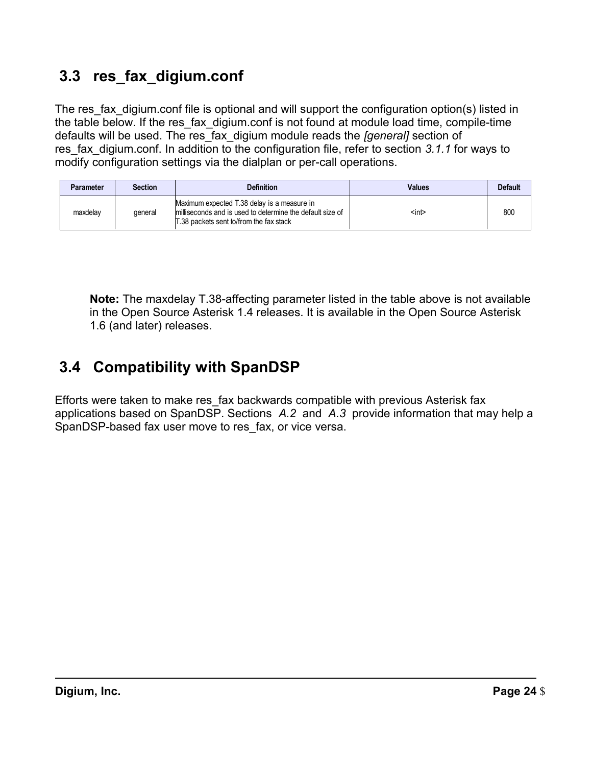# **3.3 res\_fax\_digium.conf**

 The res\_fax\_digium.conf file is optional and will support the configuration option(s) listed in the table below. If the res\_fax\_digium.conf is not found at module load time, compile-time defaults will be used. The res\_fax\_digium module reads the *[general]* section of res\_fax\_digium.conf. In addition to the configuration file, refer to section *3.1.1* for ways to modify configuration settings via the dialplan or per-call operations.

| <b>Parameter</b> | <b>Section</b> | <b>Definition</b>                                                                                                                                   | <b>Values</b> | <b>Default</b> |
|------------------|----------------|-----------------------------------------------------------------------------------------------------------------------------------------------------|---------------|----------------|
| maxdelav         | deneral        | Maximum expected T.38 delay is a measure in<br>milliseconds and is used to determine the default size of<br>T.38 packets sent to/from the fax stack | <int></int>   | 800            |

 **Note:** The maxdelay T.38-affecting parameter listed in the table above is not available in the Open Source Asterisk 1.4 releases. It is available in the Open Source Asterisk 1.6 (and later) releases.

# **3.4 Compatibility with SpanDSP**

 Efforts were taken to make res\_fax backwards compatible with previous Asterisk fax applications based on SpanDSP. Sections *A.2* and *A.3* provide information that may help a SpanDSP-based fax user move to res\_fax, or vice versa.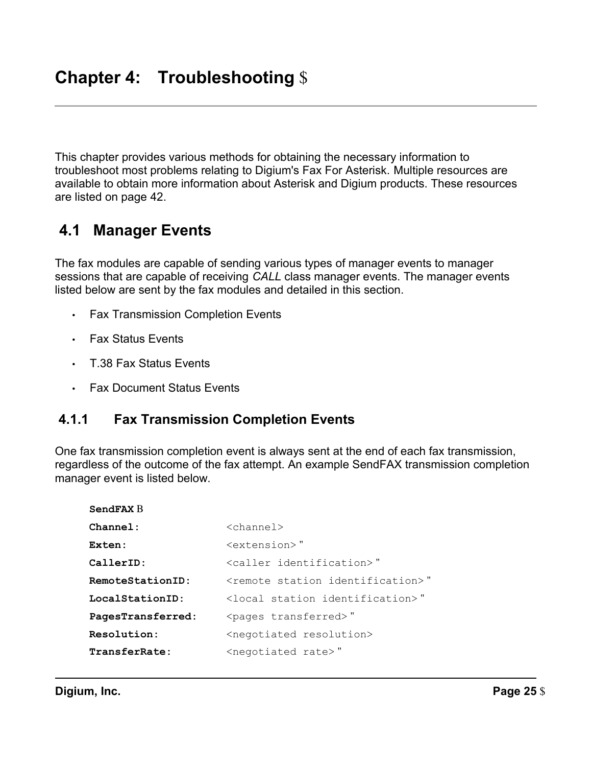This chapter provides various methods for obtaining the necessary information to troubleshoot most problems relating to Digium's Fax For Asterisk. Multiple resources are available to obtain more information about Asterisk and Digium products. These resources are listed on page 42.

#### **4.1 Manager Events**

 The fax modules are capable of sending various types of manager events to manager sessions that are capable of receiving *CALL* class manager events. The manager events listed below are sent by the fax modules and detailed in this section.

- Fax Transmission Completion Events
- Fax Status Events
- T.38 Fax Status Events
- Fax Document Status Events

# **4.1.1 Fax Transmission Completion Events**

 One fax transmission completion event is always sent at the end of each fax transmission, regardless of the outcome of the fax attempt. An example SendFAX transmission completion manager event is listed below.

| $\langle$ channel>                              |
|-------------------------------------------------|
| $<$ extension $>$ "                             |
| <caller identification="">"</caller>            |
| <remote identification="" station="">"</remote> |
| <local identification="" station="">"</local>   |
| <pages transferred="">"</pages>                 |
| <negotiated resolution=""></negotiated>         |
| <negotiated rate="">"</negotiated>              |
|                                                 |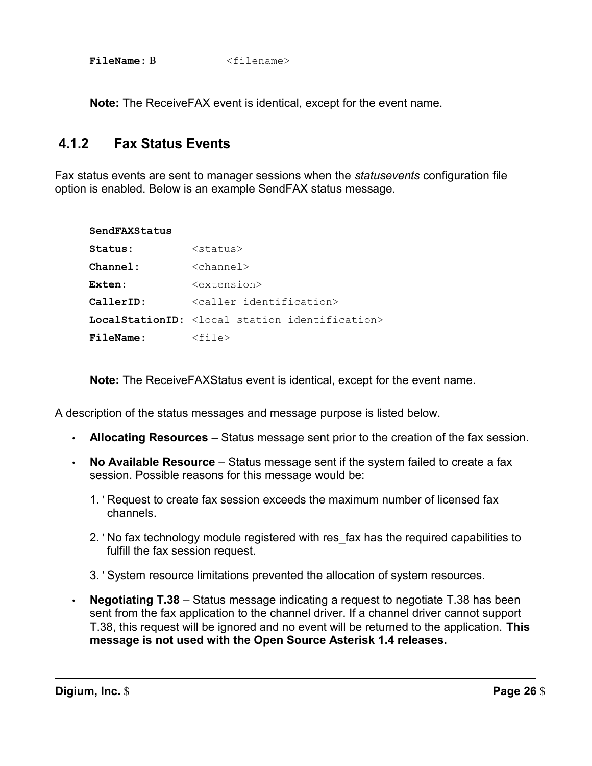FileName: B  $\leq$ filename>

**Note:** The ReceiveFAX event is identical, except for the event name.

# **4.1.2 Fax Status Events**

 Fax status events are sent to manager sessions when the *statusevents* configuration file option is enabled. Below is an example SendFAX status message.

| SendFAXStatus    |                                                                     |
|------------------|---------------------------------------------------------------------|
| Status:          | <status></status>                                                   |
| Channel:         | $\langle$ channel $\rangle$                                         |
| Exten:           | <extension></extension>                                             |
| CallerID:        | <caller identification=""></caller>                                 |
|                  | <b>LocalStationID:</b> <local identification="" station=""></local> |
| <b>FileName:</b> | $<$ file $>$                                                        |

**Note:** The ReceiveFAXStatus event is identical, except for the event name.

A description of the status messages and message purpose is listed below.

- **Allocating Resources**  Status message sent prior to the creation of the fax session.
- **No Available Resource**  Status message sent if the system failed to create a fax session. Possible reasons for this message would be:
	- 1. ' Request to create fax session exceeds the maximum number of licensed fax channels.
	- 2. ' No fax technology module registered with res\_fax has the required capabilities to fulfill the fax session request.
	- 3. ' System resource limitations prevented the allocation of system resources.
- • **Negotiating T.38**  Status message indicating a request to negotiate T.38 has been sent from the fax application to the channel driver. If a channel driver cannot support T.38, this request will be ignored and no event will be returned to the application. **This message is not used with the Open Source Asterisk 1.4 releases.**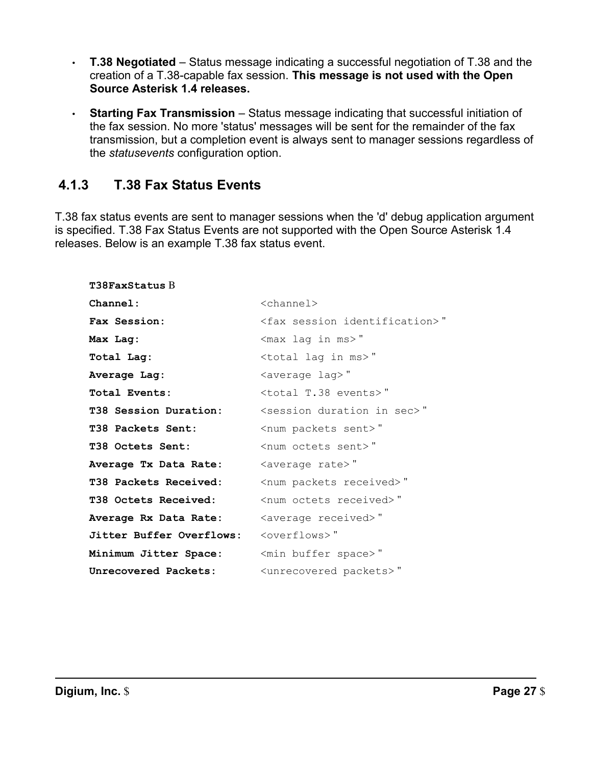- • **T.38 Negotiated**  Status message indicating a successful negotiation of T.38 and the creation of a T.38-capable fax session. **This message is not used with the Open Source Asterisk 1.4 releases.**
- **Starting Fax Transmission**  Status message indicating that successful initiation of the fax session. No more 'status' messages will be sent for the remainder of the fax transmission, but a completion event is always sent to manager sessions regardless of the *statusevents* configuration option.

# **4.1.3 T.38 Fax Status Events**

 T.38 fax status events are sent to manager sessions when the 'd' debug application argument is specified. T.38 Fax Status Events are not supported with the Open Source Asterisk 1.4 releases. Below is an example T.38 fax status event.

| $\langle$ channel $\rangle$                   |
|-----------------------------------------------|
| <fax identification="" session="">"</fax>     |
| <max in="" lag="" ms="">"</max>               |
| <total in="" lag="" ms="">"</total>           |
| <average lag="">"</average>                   |
| <total events="" t.38="">"</total>            |
| <session duration="" in="" sec="">"</session> |
| <num packets="" sent="">"</num>               |
| <num octets="" sent="">"</num>                |
| <average rate="">"</average>                  |
| <num packets="" received="">"</num>           |
| <num octets="" received="">"</num>            |
| <average received="">"</average>              |
| <overflows>"</overflows>                      |
| <min buffer="" space="">"</min>               |
| <unrecovered packets="">"</unrecovered>       |
|                                               |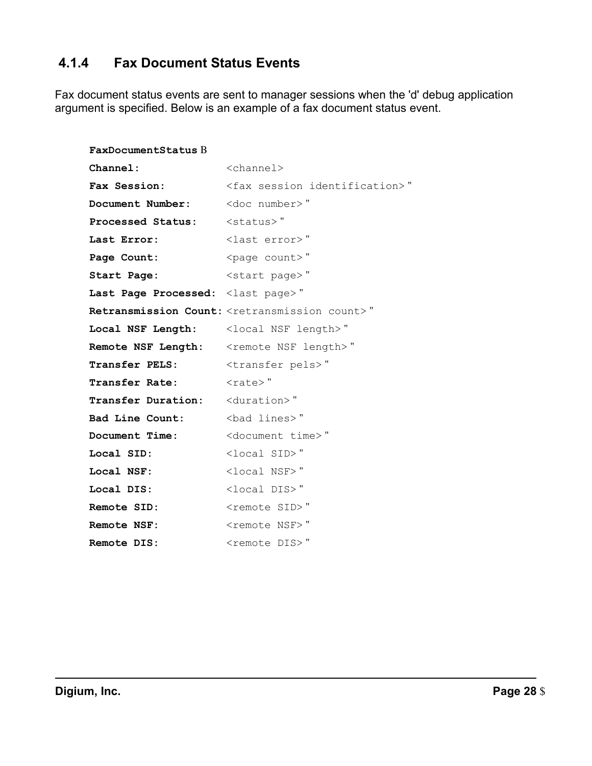# **4.1.4 Fax Document Status Events**

 Fax document status events are sent to manager sessions when the 'd' debug application argument is specified. Below is an example of a fax document status event.

| FaxDocumentStatus B                                 |                                                                   |
|-----------------------------------------------------|-------------------------------------------------------------------|
| Channel:                                            | <channel></channel>                                               |
| Fax Session:                                        | <fax identification="" session="">"</fax>                         |
| Document Number:                                    | <doc number="">"</doc>                                            |
| Processed Status:                                   | <status>"</status>                                                |
| Last Error:                                         | <last error="">"</last>                                           |
| Page Count:                                         | <page count="">"</page>                                           |
| Start Page:                                         | <start page="">"</start>                                          |
| Last Page Processed: <last page="">"</last>         |                                                                   |
|                                                     | Retransmission Count: <retransmission count="">"</retransmission> |
| Local NSF Length: <local length="" nsf="">"</local> |                                                                   |
| Remote NSF Length: < remote NSF length>"            |                                                                   |
| <b>Transfer PELS:</b>                               | <transfer pels="">"</transfer>                                    |
| <b>Transfer Rate:</b>                               | $\langle \text{rate} \rangle$ "                                   |
| <b>Transfer Duration:</b> <duration>"</duration>    |                                                                   |
| Bad Line Count:                                     | <bad lines="">"</bad>                                             |
| Document Time:                                      | <document time="">"</document>                                    |
| Local SID:                                          | <local sid="">"</local>                                           |
| Local NSF:                                          | <local nsf="">"</local>                                           |
| Local DIS:                                          | <local dis="">"</local>                                           |
| Remote SID:                                         | <remote sid="">"</remote>                                         |
| Remote NSF:                                         | <remote nsf="">"</remote>                                         |
| <b>Remote DIS:</b>                                  | <remote dis="">"</remote>                                         |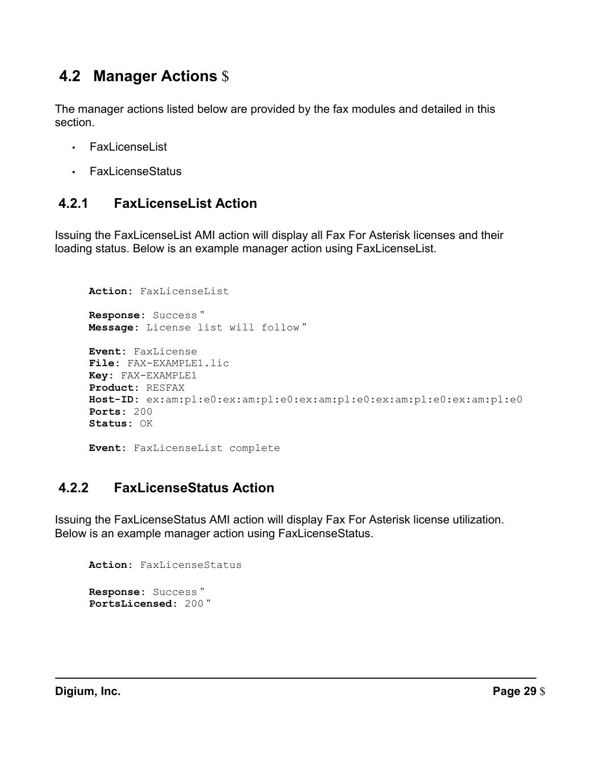# **4.2 Manager Actions** \$

 The manager actions listed below are provided by the fax modules and detailed in this section.

- FaxLicenseList
- FaxLicenseStatus

# **4.2.1 FaxLicenseList Action**

 Issuing the FaxLicenseList AMI action will display all Fax For Asterisk licenses and their loading status. Below is an example manager action using FaxLicenseList.

```
Action: FaxLicenseList 
Response: Success "
Message: License list will follow "
Event: FaxLicense 
File: FAX-EXAMPLE1.lic 
Key: FAX-EXAMPLE1 
Product: RESFAX 
Host-ID: ex:am:pl:e0:ex:am:pl:e0:ex:am:pl:e0:ex:am:pl:e0:ex:am:pl:e0 
Ports: 200 
Status: OK 
Event: FaxLicenseList complete
```
# **4.2.2 FaxLicenseStatus Action**

 Issuing the FaxLicenseStatus AMI action will display Fax For Asterisk license utilization. Below is an example manager action using FaxLicenseStatus.

```
Action: FaxLicenseStatus 
Response: Success "
PortsLicensed: 200 "
```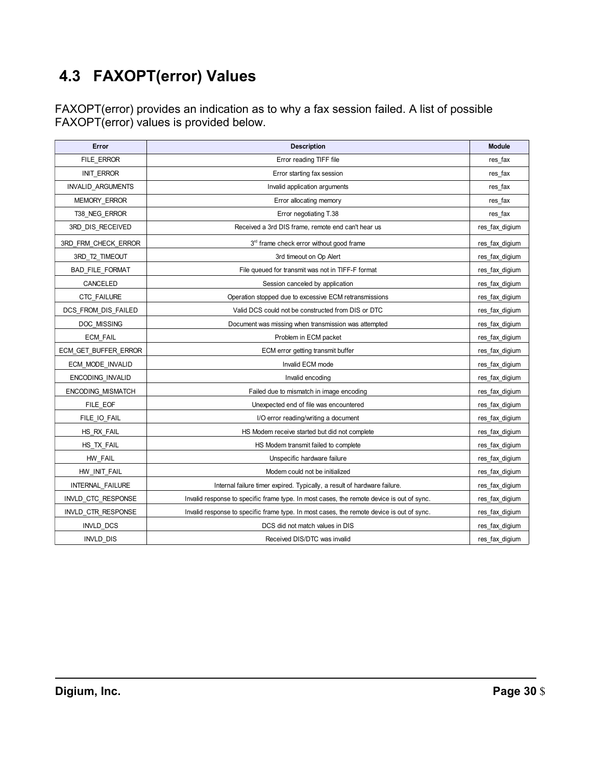# **4.3 FAXOPT(error) Values**

 FAXOPT(error) provides an indication as to why a fax session failed. A list of possible FAXOPT(error) values is provided below.

| Error                    | <b>Description</b>                                                                        | <b>Module</b>  |
|--------------------------|-------------------------------------------------------------------------------------------|----------------|
| FILE ERROR               | Error reading TIFF file                                                                   | res_fax        |
| <b>INIT ERROR</b>        | Error starting fax session                                                                | res_fax        |
| <b>INVALID ARGUMENTS</b> | Invalid application arguments                                                             | res fax        |
| MEMORY_ERROR             | Error allocating memory                                                                   | res_fax        |
| T38 NEG ERROR            | Error negotiating T.38                                                                    | res fax        |
| 3RD DIS RECEIVED         | Received a 3rd DIS frame, remote end can't hear us                                        | res_fax_digium |
| 3RD_FRM_CHECK_ERROR      | 3rd frame check error without good frame                                                  | res_fax_digium |
| 3RD T2 TIMEOUT           | 3rd timeout on Op Alert                                                                   | res fax digium |
| <b>BAD FILE FORMAT</b>   | File queued for transmit was not in TIFF-F format                                         | res fax digium |
| CANCELED                 | Session canceled by application                                                           | res fax digium |
| <b>CTC FAILURE</b>       | Operation stopped due to excessive ECM retransmissions                                    | res fax digium |
| DCS FROM DIS FAILED      | Valid DCS could not be constructed from DIS or DTC                                        | res_fax_digium |
| DOC MISSING              | Document was missing when transmission was attempted                                      | res fax digium |
| <b>ECM FAIL</b>          | Problem in ECM packet                                                                     | res_fax_digium |
| ECM GET BUFFER ERROR     | ECM error getting transmit buffer                                                         | res_fax_digium |
| ECM MODE INVALID         | Invalid ECM mode                                                                          | res fax digium |
| <b>ENCODING INVALID</b>  | Invalid encoding                                                                          | res_fax_digium |
| <b>ENCODING MISMATCH</b> | Failed due to mismatch in image encoding                                                  | res fax digium |
| FILE EOF                 | Unexpected end of file was encountered                                                    | res_fax_digium |
| FILE IO FAIL             | I/O error reading/writing a document                                                      | res fax digium |
| HS RX FAIL               | HS Modem receive started but did not complete                                             | res fax digium |
| HS TX FAIL               | HS Modem transmit failed to complete                                                      | res fax digium |
| HW FAIL                  | Unspecific hardware failure                                                               | res fax digium |
| HW INIT FAIL             | Modem could not be initialized                                                            | res_fax_digium |
| INTERNAL FAILURE         | Internal failure timer expired. Typically, a result of hardware failure.                  | res fax digium |
| INVLD_CTC_RESPONSE       | Invalid response to specific frame type. In most cases, the remote device is out of sync. | res_fax_digium |
| INVLD CTR RESPONSE       | Invalid response to specific frame type. In most cases, the remote device is out of sync. | res fax digium |
| <b>INVLD DCS</b>         | DCS did not match values in DIS                                                           | res fax digium |
| <b>INVLD DIS</b>         | Received DIS/DTC was invalid                                                              | res fax digium |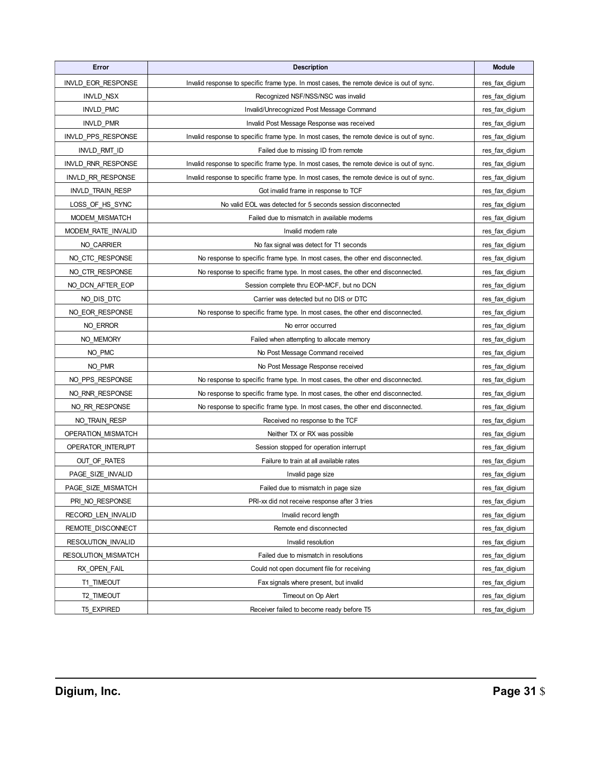| Error                   | <b>Description</b>                                                                        | <b>Module</b>  |
|-------------------------|-------------------------------------------------------------------------------------------|----------------|
| INVLD EOR RESPONSE      | Invalid response to specific frame type. In most cases, the remote device is out of sync. | res_fax_digium |
| <b>INVLD NSX</b>        | Recognized NSF/NSS/NSC was invalid                                                        | res_fax_digium |
| <b>INVLD PMC</b>        | Invalid/Unrecognized Post Message Command                                                 | res_fax_digium |
| <b>INVLD PMR</b>        | Invalid Post Message Response was received                                                | res_fax_digium |
| INVLD_PPS_RESPONSE      | Invalid response to specific frame type. In most cases, the remote device is out of sync. | res_fax_digium |
| INVLD_RMT_ID            | Failed due to missing ID from remote                                                      | res_fax_digium |
| INVLD RNR RESPONSE      | Invalid response to specific frame type. In most cases, the remote device is out of sync. | res fax digium |
| INVLD_RR_RESPONSE       | Invalid response to specific frame type. In most cases, the remote device is out of sync. | res_fax_digium |
| <b>INVLD TRAIN RESP</b> | Got invalid frame in response to TCF                                                      | res_fax_digium |
| LOSS_OF_HS_SYNC         | No valid EOL was detected for 5 seconds session disconnected                              | res_fax_digium |
| MODEM_MISMATCH          | Failed due to mismatch in available modems                                                | res_fax_digium |
| MODEM RATE INVALID      | Invalid modem rate                                                                        | res_fax_digium |
| NO_CARRIER              | No fax signal was detect for T1 seconds                                                   | res_fax_digium |
| NO_CTC_RESPONSE         | No response to specific frame type. In most cases, the other end disconnected.            | res_fax_digium |
| NO_CTR_RESPONSE         | No response to specific frame type. In most cases, the other end disconnected.            | res_fax_digium |
| NO_DCN_AFTER_EOP        | Session complete thru EOP-MCF, but no DCN                                                 | res_fax_digium |
| NO_DIS_DTC              | Carrier was detected but no DIS or DTC                                                    | res_fax_digium |
| NO EOR RESPONSE         | No response to specific frame type. In most cases, the other end disconnected.            | res_fax_digium |
| NO_ERROR                | No error occurred                                                                         | res_fax_digium |
| NO MEMORY               | Failed when attempting to allocate memory                                                 | res_fax_digium |
| NO PMC                  | No Post Message Command received                                                          | res_fax_digium |
| NO PMR                  | No Post Message Response received                                                         | res_fax_digium |
| NO PPS RESPONSE         | No response to specific frame type. In most cases, the other end disconnected.            | res_fax_digium |
| NO_RNR_RESPONSE         | No response to specific frame type. In most cases, the other end disconnected.            | res_fax_digium |
| NO_RR_RESPONSE          | No response to specific frame type. In most cases, the other end disconnected.            | res_fax_digium |
| NO TRAIN RESP           | Received no response to the TCF                                                           | res_fax_digium |
| OPERATION_MISMATCH      | Neither TX or RX was possible                                                             | res_fax_digium |
| OPERATOR_INTERUPT       | Session stopped for operation interrupt                                                   | res_fax_digium |
| OUT_OF_RATES            | Failure to train at all available rates                                                   | res fax digium |
| PAGE SIZE INVALID       | Invalid page size                                                                         | res_fax_digium |
| PAGE SIZE MISMATCH      | Failed due to mismatch in page size                                                       | res fax digium |
| PRI NO RESPONSE         | PRI-xx did not receive response after 3 tries                                             | res_fax_digium |
| RECORD LEN INVALID      | Invalid record length                                                                     | res_fax_digium |
| REMOTE_DISCONNECT       | Remote end disconnected                                                                   | res_fax_digium |
| RESOLUTION_INVALID      | Invalid resolution                                                                        | res_fax_digium |
| RESOLUTION_MISMATCH     | Failed due to mismatch in resolutions                                                     | res_fax_digium |
| RX_OPEN_FAIL            | Could not open document file for receiving                                                | res fax digium |
| T1 TIMEOUT              | Fax signals where present, but invalid                                                    | res_fax_digium |
| T2_TIMEOUT              | Timeout on Op Alert                                                                       | res_fax_digium |
| <b>T5 EXPIRED</b>       | Receiver failed to become ready before T5                                                 | res_fax_digium |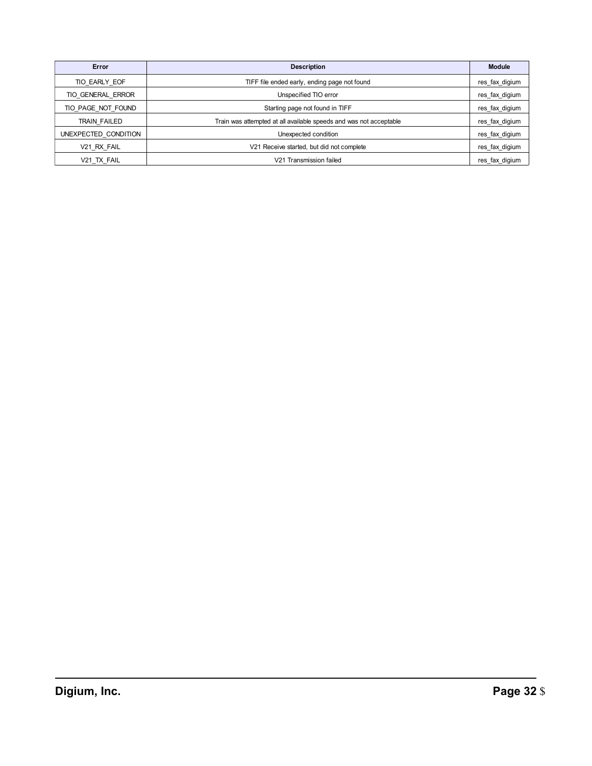| Error                | <b>Description</b>                                                 | <b>Module</b>  |
|----------------------|--------------------------------------------------------------------|----------------|
| TIO EARLY EOF        | TIFF file ended early, ending page not found                       | res fax digium |
| TIO GENERAL ERROR    | Unspecified TIO error                                              | res fax digium |
| TIO PAGE NOT FOUND   | Starting page not found in TIFF                                    | res_fax_digium |
| TRAIN FAILED         | Train was attempted at all available speeds and was not acceptable | res fax digium |
| UNEXPECTED CONDITION | Unexpected condition                                               | res fax digium |
| V21 RX FAIL          | V21 Receive started, but did not complete                          | res fax digium |
| V21 TX FAIL          | V21 Transmission failed                                            | res_fax_digium |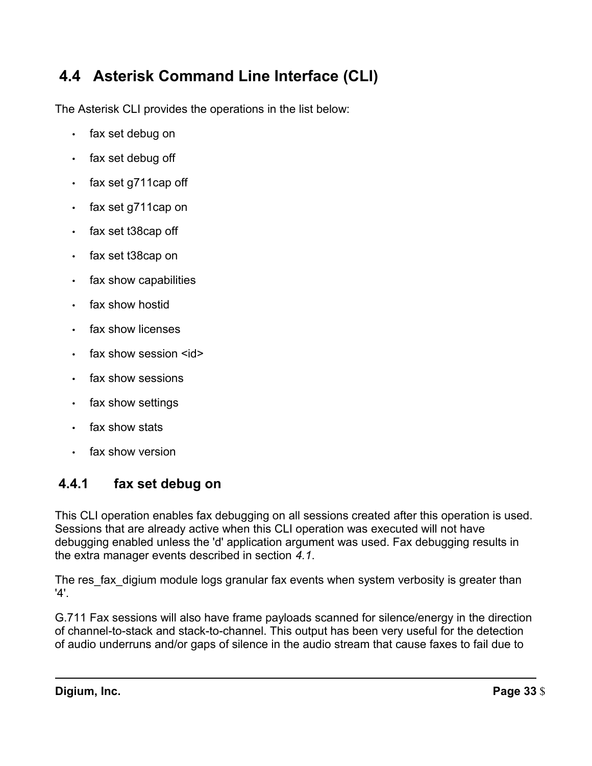# **4.4 Asterisk Command Line Interface (CLI)**

The Asterisk CLI provides the operations in the list below:

- fax set debug on
- fax set debug off
- fax set g711cap off
- fax set g711cap on
- fax set t38cap off
- fax set t38cap on
- fax show capabilities
- fax show hostid
- fax show licenses
- fax show session  $\leq$ id $\geq$
- fax show sessions
- fax show settings
- fax show stats
- fax show version

# **4.4.1 fax set debug on**

 This CLI operation enables fax debugging on all sessions created after this operation is used. Sessions that are already active when this CLI operation was executed will not have debugging enabled unless the 'd' application argument was used. Fax debugging results in the extra manager events described in section *4.1*.

 The res\_fax\_digium module logs granular fax events when system verbosity is greater than '4'.

 G.711 Fax sessions will also have frame payloads scanned for silence/energy in the direction of channel-to-stack and stack-to-channel. This output has been very useful for the detection of audio underruns and/or gaps of silence in the audio stream that cause faxes to fail due to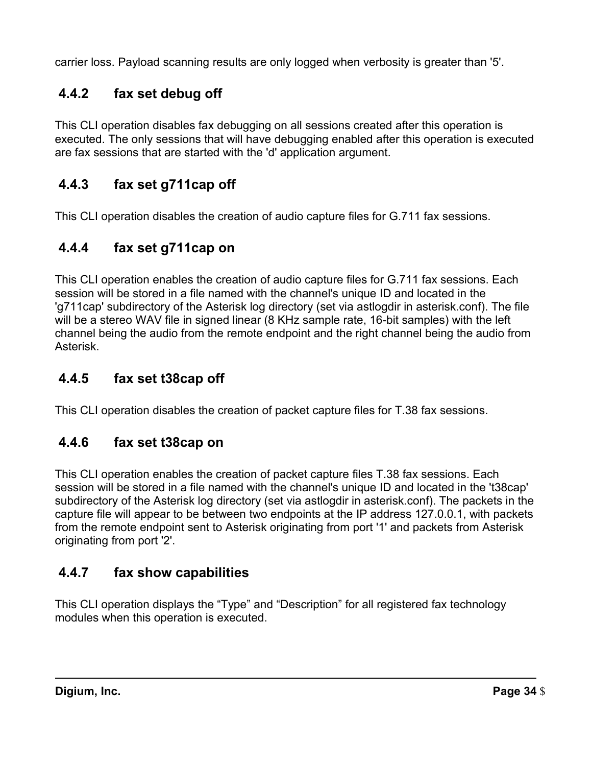carrier loss. Payload scanning results are only logged when verbosity is greater than '5'.

# **4.4.2 fax set debug off**

 This CLI operation disables fax debugging on all sessions created after this operation is executed. The only sessions that will have debugging enabled after this operation is executed are fax sessions that are started with the 'd' application argument.

# **4.4.3 fax set g711cap off**

This CLI operation disables the creation of audio capture files for G.711 fax sessions.

# **4.4.4 fax set g711cap on**

 This CLI operation enables the creation of audio capture files for G.711 fax sessions. Each session will be stored in a file named with the channel's unique ID and located in the 'g711cap' subdirectory of the Asterisk log directory (set via astlogdir in asterisk.conf). The file will be a stereo WAV file in signed linear (8 KHz sample rate, 16-bit samples) with the left channel being the audio from the remote endpoint and the right channel being the audio from Asterisk.

# **4.4.5 fax set t38cap off**

This CLI operation disables the creation of packet capture files for T.38 fax sessions.

# **4.4.6 fax set t38cap on**

 This CLI operation enables the creation of packet capture files T.38 fax sessions. Each session will be stored in a file named with the channel's unique ID and located in the 't38cap' subdirectory of the Asterisk log directory (set via astlogdir in asterisk.conf). The packets in the capture file will appear to be between two endpoints at the IP address 127.0.0.1, with packets from the remote endpoint sent to Asterisk originating from port '1' and packets from Asterisk originating from port '2'.

# **4.4.7 fax show capabilities**

 This CLI operation displays the "Type" and "Description" for all registered fax technology modules when this operation is executed.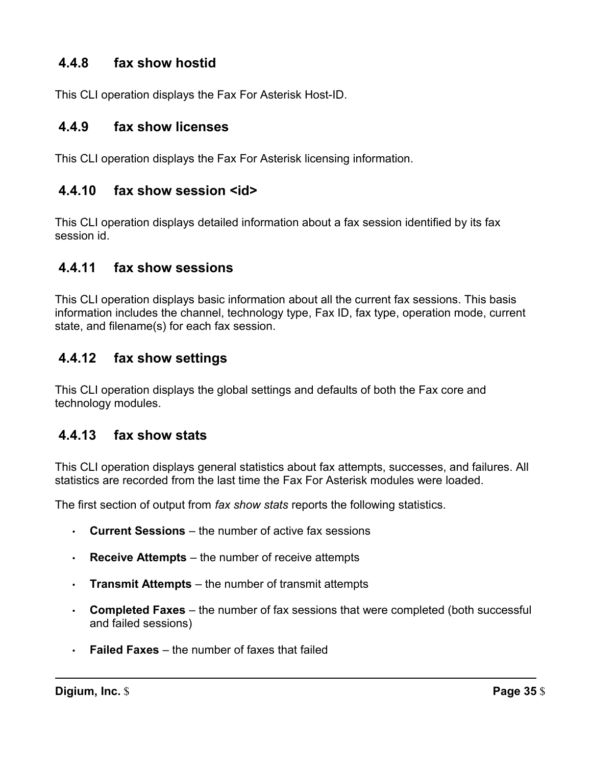# **4.4.8 fax show hostid**

This CLI operation displays the Fax For Asterisk Host-ID.

# **4.4.9 fax show licenses**

This CLI operation displays the Fax For Asterisk licensing information.

# **4.4.10 fax show session <id>**

 This CLI operation displays detailed information about a fax session identified by its fax session id.

# **4.4.11 fax show sessions**

 This CLI operation displays basic information about all the current fax sessions. This basis information includes the channel, technology type, Fax ID, fax type, operation mode, current state, and filename(s) for each fax session.

# **4.4.12 fax show settings**

 This CLI operation displays the global settings and defaults of both the Fax core and technology modules.

# **4.4.13 fax show stats**

 This CLI operation displays general statistics about fax attempts, successes, and failures. All statistics are recorded from the last time the Fax For Asterisk modules were loaded.

The first section of output from *fax show stats* reports the following statistics.

- **Current Sessions**  the number of active fax sessions
- **Receive Attempts** the number of receive attempts
- **Transmit Attempts**  the number of transmit attempts
- • **Completed Faxes**  the number of fax sessions that were completed (both successful and failed sessions)
- **Failed Faxes**  the number of faxes that failed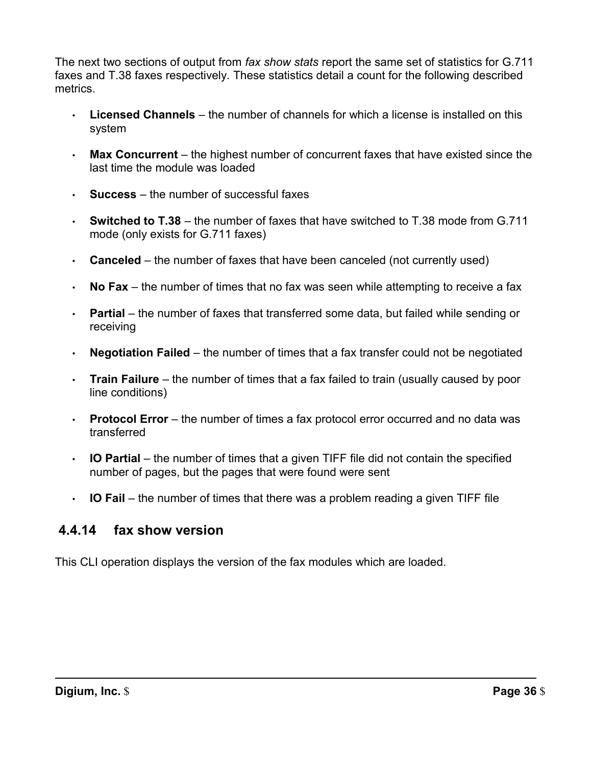The next two sections of output from *fax show stats* report the same set of statistics for G.711 faxes and T.38 faxes respectively. These statistics detail a count for the following described metrics.

- • **Licensed Channels**  the number of channels for which a license is installed on this system
- • **Max Concurrent**  the highest number of concurrent faxes that have existed since the last time the module was loaded
- **Success**  the number of successful faxes
- **Switched to T.38**  the number of faxes that have switched to T.38 mode from G.711 mode (only exists for G.711 faxes)
- **Canceled**  the number of faxes that have been canceled (not currently used)
- **No Fax**  the number of times that no fax was seen while attempting to receive a fax
- • **Partial**  the number of faxes that transferred some data, but failed while sending or receiving
- **Negotiation Failed**  the number of times that a fax transfer could not be negotiated
- • **Train Failure**  the number of times that a fax failed to train (usually caused by poor line conditions)
- • **Protocol Error**  the number of times a fax protocol error occurred and no data was transferred
- • **IO Partial**  the number of times that a given TIFF file did not contain the specified number of pages, but the pages that were found were sent
- **IO Fail**  the number of times that there was a problem reading a given TIFF file

# **4.4.14 fax show version**

This CLI operation displays the version of the fax modules which are loaded.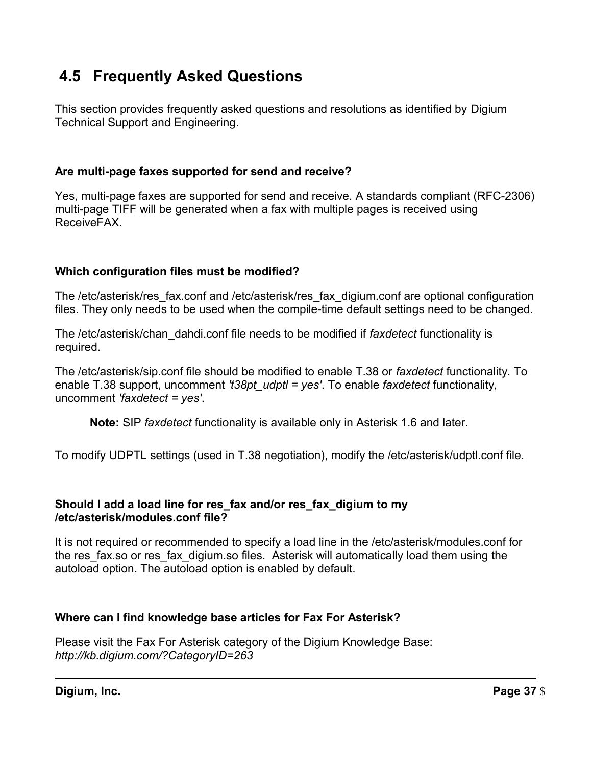# **4.5 Frequently Asked Questions**

 This section provides frequently asked questions and resolutions as identified by Digium Technical Support and Engineering.

# **Are multi-page faxes supported for send and receive?**

 Yes, multi-page faxes are supported for send and receive. A standards compliant (RFC-2306) multi-page TIFF will be generated when a fax with multiple pages is received using ReceiveFAX.

# **Which configuration files must be modified?**

 The /etc/asterisk/res\_fax.conf and /etc/asterisk/res\_fax\_digium.conf are optional configuration files. They only needs to be used when the compile-time default settings need to be changed.

 The /etc/asterisk/chan\_dahdi.conf file needs to be modified if *faxdetect* functionality is required.

 The /etc/asterisk/sip.conf file should be modified to enable T.38 or *faxdetect* functionality. To enable T.38 support, uncomment *'t38pt\_udptl = yes'*. To enable *faxdetect* functionality,  uncomment *'faxdetect = yes'*.

**Note:** SIP *faxdetect* functionality is available only in Asterisk 1.6 and later.

To modify UDPTL settings (used in T.38 negotiation), modify the /etc/asterisk/udptl.conf file.

### **Should I add a load line for res\_fax and/or res\_fax\_digium to my /etc/asterisk/modules.conf file?**

 It is not required or recommended to specify a load line in the /etc/asterisk/modules.conf for the res\_fax.so or res\_fax\_digium.so files. Asterisk will automatically load them using the autoload option. The autoload option is enabled by default.

# **Where can I find knowledge base articles for Fax For Asterisk?**

 Please visit the Fax For Asterisk category of the Digium Knowledge Base: *http://kb.digium.com/?CategoryID=263*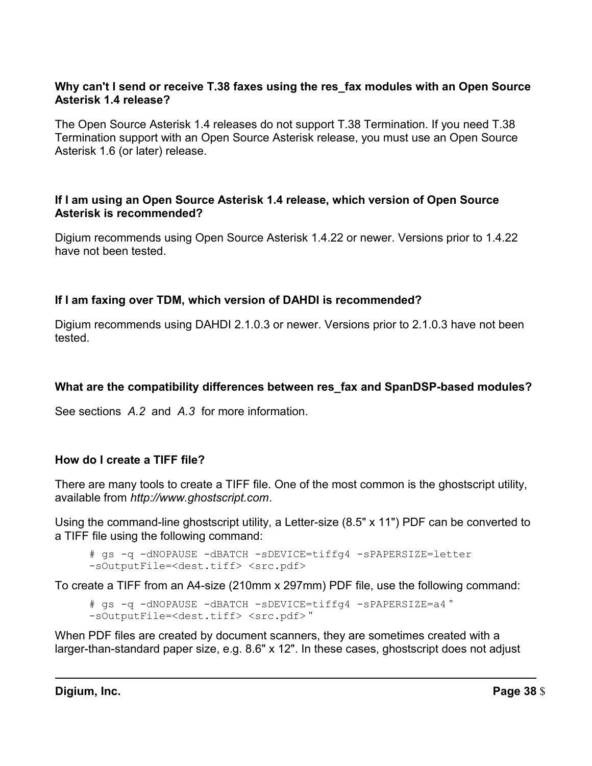### **Why can't I send or receive T.38 faxes using the res\_fax modules with an Open Source Asterisk 1.4 release?**

 The Open Source Asterisk 1.4 releases do not support T.38 Termination. If you need T.38 Termination support with an Open Source Asterisk release, you must use an Open Source Asterisk 1.6 (or later) release.

### **If I am using an Open Source Asterisk 1.4 release, which version of Open Source Asterisk is recommended?**

 Digium recommends using Open Source Asterisk 1.4.22 or newer. Versions prior to 1.4.22 have not been tested.

# **If I am faxing over TDM, which version of DAHDI is recommended?**

 Digium recommends using DAHDI 2.1.0.3 or newer. Versions prior to 2.1.0.3 have not been tested.

### **What are the compatibility differences between res\_fax and SpanDSP-based modules?**

See sections *A.2* and *A.3* for more information.

### **How do I create a TIFF file?**

 There are many tools to create a TIFF file. One of the most common is the ghostscript utility, available from *http://www.ghostscript.com*.

 Using the command-line ghostscript utility, a Letter-size (8.5" x 11") PDF can be converted to a TIFF file using the following command:

```
# gs -q -dNOPAUSE -dBATCH -sDEVICE=tiffg4 -sPAPERSIZE=letter 
-sOutputFile=<dest.tiff> <src.pdf>
```
To create a TIFF from an A4-size (210mm x 297mm) PDF file, use the following command:

# gs -q -dNOPAUSE -dBATCH -sDEVICE=tiffg4 -sPAPERSIZE=a4 " -sOutputFile=<dest.tiff> <src.pdf>"

 When PDF files are created by document scanners, they are sometimes created with a larger-than-standard paper size, e.g. 8.6" x 12". In these cases, ghostscript does not adjust

**Digium, Inc.** Page 38 \$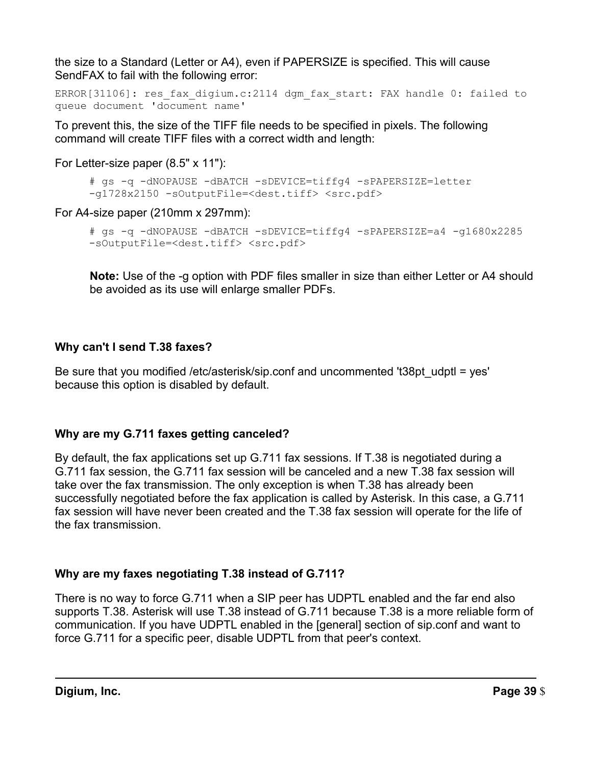the size to a Standard (Letter or A4), even if PAPERSIZE is specified. This will cause SendFAX to fail with the following error:

```
ERROR[31106]: res fax digium.c:2114 dgm fax start: FAX handle 0: failed to
queue document 'document name'
```
 To prevent this, the size of the TIFF file needs to be specified in pixels. The following command will create TIFF files with a correct width and length:

For Letter-size paper (8.5" x 11"):

```
# gs -q -dNOPAUSE -dBATCH -sDEVICE=tiffg4 -sPAPERSIZE=letter 
-g1728x2150 -sOutputFile=<dest.tiff> <src.pdf>
```
For A4-size paper (210mm x 297mm):

```
# gs -q -dNOPAUSE -dBATCH -sDEVICE=tiffg4 -sPAPERSIZE=a4 -g1680x2285 
-sOutputFile=<dest.tiff> <src.pdf>
```
 **Note:** Use of the -g option with PDF files smaller in size than either Letter or A4 should be avoided as its use will enlarge smaller PDFs.

# **Why can't I send T.38 faxes?**

 Be sure that you modified /etc/asterisk/sip.conf and uncommented 't38pt\_udptl = yes' because this option is disabled by default.

# **Why are my G.711 faxes getting canceled?**

 By default, the fax applications set up G.711 fax sessions. If T.38 is negotiated during a G.711 fax session, the G.711 fax session will be canceled and a new T.38 fax session will take over the fax transmission. The only exception is when T.38 has already been successfully negotiated before the fax application is called by Asterisk. In this case, a G.711 fax session will have never been created and the T.38 fax session will operate for the life of the fax transmission.

# **Why are my faxes negotiating T.38 instead of G.711?**

 There is no way to force G.711 when a SIP peer has UDPTL enabled and the far end also supports T.38. Asterisk will use T.38 instead of G.711 because T.38 is a more reliable form of communication. If you have UDPTL enabled in the [general] section of sip.conf and want to force G.711 for a specific peer, disable UDPTL from that peer's context.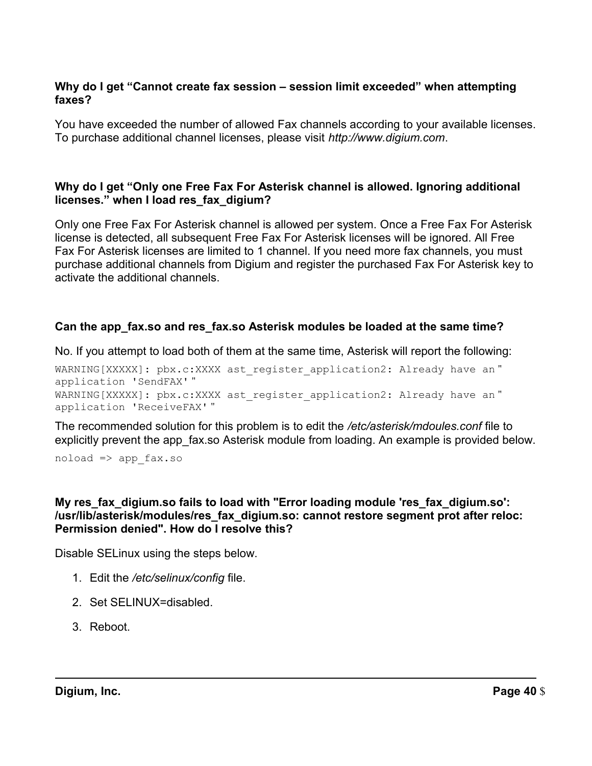### **Why do I get "Cannot create fax session – session limit exceeded" when attempting faxes?**

 You have exceeded the number of allowed Fax channels according to your available licenses. To purchase additional channel licenses, please visit *http://www.digium.com*.

### **Why do I get "Only one Free Fax For Asterisk channel is allowed. Ignoring additional licenses." when I load res\_fax\_digium?**

 Only one Free Fax For Asterisk channel is allowed per system. Once a Free Fax For Asterisk license is detected, all subsequent Free Fax For Asterisk licenses will be ignored. All Free Fax For Asterisk licenses are limited to 1 channel. If you need more fax channels, you must purchase additional channels from Digium and register the purchased Fax For Asterisk key to activate the additional channels.

# **Can the app\_fax.so and res\_fax.so Asterisk modules be loaded at the same time?**

No. If you attempt to load both of them at the same time, Asterisk will report the following:

WARNING[XXXXX]: pbx.c:XXXX ast register application2: Already have an" application 'SendFAX' " WARNING[XXXXX]: pbx.c:XXXX ast register application2: Already have an " application 'ReceiveFAX' "

 The recommended solution for this problem is to edit the */etc/asterisk/mdoules.conf* file to explicitly prevent the app\_fax.so Asterisk module from loading. An example is provided below.

noload => app\_fax.so

### **My res\_fax\_digium.so fails to load with "Error loading module 'res\_fax\_digium.so': /usr/lib/asterisk/modules/res\_fax\_digium.so: cannot restore segment prot after reloc: Permission denied". How do I resolve this?**

Disable SELinux using the steps below.

- 1. Edit the */etc/selinux/config* file.
- 2. Set SELINUX=disabled.
- 3. Reboot.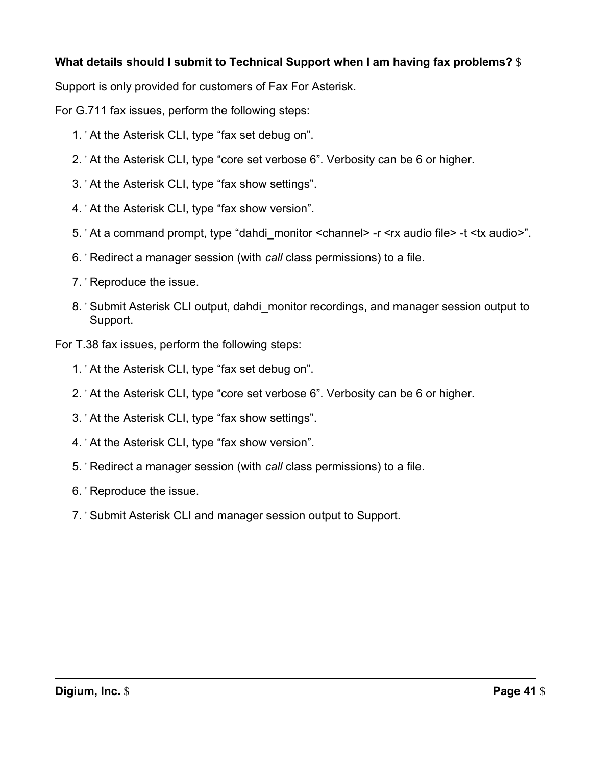# **What details should I submit to Technical Support when I am having fax problems?** \$

Support is only provided for customers of Fax For Asterisk.

For G.711 fax issues, perform the following steps:

- 1. ' At the Asterisk CLI, type "fax set debug on".
- 2. ' At the Asterisk CLI, type "core set verbose 6". Verbosity can be 6 or higher.
- 3. ' At the Asterisk CLI, type "fax show settings".
- 4. ' At the Asterisk CLI, type "fax show version".
- 5. ' At a command prompt, type "dahdi\_monitor <channel> -r <rx audio file> -t <tx audio>".
- 6. ' Redirect a manager session (with *call* class permissions) to a file.
- 7. ' Reproduce the issue.
- 8. ' Submit Asterisk CLI output, dahdi\_monitor recordings, and manager session output to Support.

For T.38 fax issues, perform the following steps:

- 1. ' At the Asterisk CLI, type "fax set debug on".
- 2. ' At the Asterisk CLI, type "core set verbose 6". Verbosity can be 6 or higher.
- 3. ' At the Asterisk CLI, type "fax show settings".
- 4. ' At the Asterisk CLI, type "fax show version".
- 5. ' Redirect a manager session (with *call* class permissions) to a file.
- 6. ' Reproduce the issue.
- 7. ' Submit Asterisk CLI and manager session output to Support.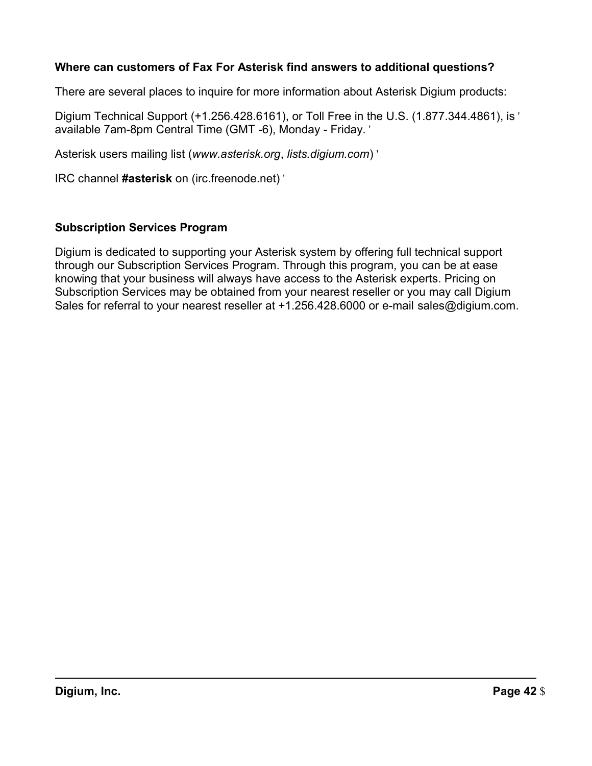# **Where can customers of Fax For Asterisk find answers to additional questions?**

There are several places to inquire for more information about Asterisk Digium products:

 Digium Technical Support (+1.256.428.6161), or Toll Free in the U.S. (1.877.344.4861), is ' available 7am-8pm Central Time (GMT -6), Monday - Friday. '

Asterisk users mailing list (*www.asterisk.org*, *lists.digium.com*) '

IRC channel **#asterisk** on (irc.freenode.net) '

# **Subscription Services Program**

 Digium is dedicated to supporting your Asterisk system by offering full technical support through our Subscription Services Program. Through this program, you can be at ease knowing that your business will always have access to the Asterisk experts. Pricing on Subscription Services may be obtained from your nearest reseller or you may call Digium Sales for referral to your nearest reseller at +1.256.428.6000 or e-mail sales@digium.com.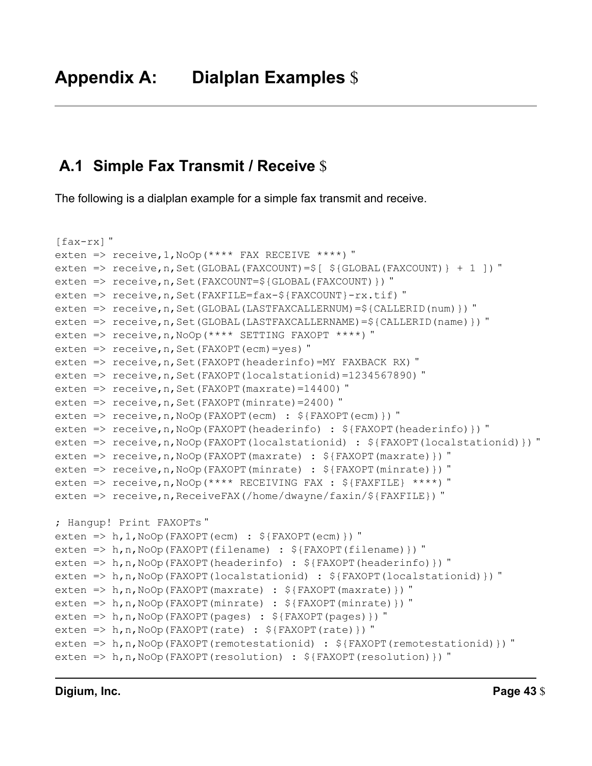# **A.1 Simple Fax Transmit / Receive** \$

The following is a dialplan example for a simple fax transmit and receive.

```
[fax-rx]"
exten => receive,1,NoOp(**** FAX RECEIVE ****) "
exten => receive,n,Set(GLOBAL(FAXCOUNT)=$[ ${GLOBAL(FAXCOUNT)} + 1 ]) "
exten => receive, n, Set (FAXCOUNT=${GLOBAL (FAXCOUNT) }) "
exten => receive,n,Set(FAXFILE=fax-${FAXCOUNT}-rx.tif) "
exten => receive,n,Set(GLOBAL(LASTFAXCALLERNUM)=${CALLERID(num)}) "
exten => receive,n,Set(GLOBAL(LASTFAXCALLERNAME)=${CALLERID(name)}) "
exten => receive,n,NoOp(**** SETTING FAXOPT ****) "
exten => receive,n,Set(FAXOPT(ecm)=yes) "
exten => receive, n, Set (FAXOPT (headerinfo) = MY FAXBACK RX) "
exten => receive, n, Set (FAXOPT (localstationid) = 1234567890) "
exten => receive,n,Set(FAXOPT(maxrate)=14400) "
exten \Rightarrow receive, n, Set (FAXOPT (minrate) = 2400) "
exten => receive,n,NoOp(FAXOPT(ecm) : ${FAXOPT(ecm)}) "
exten => receive,n,NoOp(FAXOPT(headerinfo) : ${FAXOPT(headerinfo)}) "
exten => receive,n,NoOp(FAXOPT(localstationid) : ${FAXOPT(localstationid)}) "
exten => receive,n,NoOp(FAXOPT(maxrate) : ${FAXOPT(maxrate)}) "
exten => receive,n,NoOp(FAXOPT(minrate) : ${FAXOPT(minrate)}) "
exten => receive,n,NoOp(**** RECEIVING FAX : ${FAXFILE} ****) "
exten => receive, n, ReceiveFAX(/home/dwayne/faxin/${FAXFILE}) "
; Hangup! Print FAXOPTs "
exten => h, 1, NoOp(FAXOPT(ecm) : ${FAXOPT(ecm)}) "
exten => h,n,NoOp(FAXOPT(filename) : ${FAXOPT(filename)}) "
exten => h,n,NoOp(FAXOPT(headerinfo) : ${FAXOPT(headerinfo)}) "
exten => h,n,NoOp(FAXOPT(localstationid) : ${FAXOPT(localstationid)}) "
exten => h,n,NoOp(FAXOPT(maxrate) : ${FAXOPT(maxrate)}) "
exten => h,n,NoOp(FAXOPT(minrate) : ${FAXOPT(minrate)}) "
exten => h,n,NoOp(FAXOPT(pages) : ${FAXOPT(pages)}) "
exten => h,n,NoOp(FAXOPT(rate) : ${FAXOPT(rate)}) "
exten => h,n,NoOp(FAXOPT(remotestationid) : \S{FAXOPT(remotestationid)}) "
exten => h,n,NoOp(FAXOPT(resolution) : ${FAXOPT(resolution)}) "
```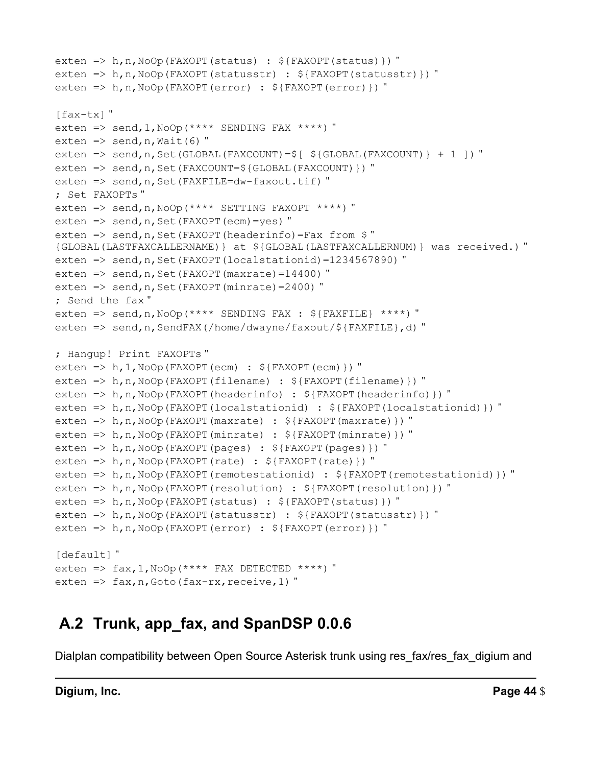```
exten => h,n,NoOp(FAXOPT(status) : ${FAXOPT(status)}) "
exten => h,n,NoOp(FAXOPT(statusstr) : ${FAXOPT(statusstr)}) "
exten => h,n,NoOp(FAXOPT(error) : ${FAXOPT(error)}) "
[fax-tx]"
exten => send, 1, NoOp(**** SENDING FAX ****) "
exten \Rightarrow send, n, Wait (6) "
exten => send, n, Set (GLOBAL (FAXCOUNT) = \S [ \S {GLOBAL (FAXCOUNT) } + 1 ]) "
exten => send,n,Set(FAXCOUNT=${GLOBAL(FAXCOUNT)}) "
exten => send, n, Set (FAXFILE=dw-faxout.tif) "
; Set FAXOPTs "
exten => send,n,NoOp(**** SETTING FAXOPT ****) "
exten \Rightarrow send, n, Set (FAXOPT (ecm) = yes) "
exten => send, n, Set (FAXOPT (headerinfo) =Fax from $"
{GLOBAL(LASTFAXCALLERNAME)} at ${GLOBAL(LASTFAXCALLERNUM)} was received.) "
exten => send, n, Set (FAXOPT (localstationid) = 1234567890) "
exten \Rightarrow send, n, Set (FAXOPT (maxrate) = 14400) "
exten \Rightarrow send, n, Set (FAXOPT (minrate) = 2400) "
; Send the fax "
exten => send,n,NoOp(**** SENDING FAX : ${FAXFILE} ****) "
exten => send,n,SendFAX(/home/dwayne/faxout/${FAXFILE},d) "
; Hangup! Print FAXOPTs "
exten => h, 1, NoOp(FAXOPT(ecm) : ${FAXOPT(ecm)}) "
exten => h,n,NoOp(FAXOPT(filename) : ${FAXOPT(filename)}) "
exten => h,n,NoOp(FAXOPT(headerinfo) : ${FAXOPT(headerinfo)}) "
exten => h,n,NoOp(FAXOPT(localstationid) : ${FAXOPT(localstationid)}) "
exten => h,n,NoOp(FAXOPT(maxrate) : ${FAXOPT(maxrate)}) "
exten => h,n,NoOp(FAXOPT(minrate) : ${FAXOPT(minrate)}) "
exten => h,n,NoOp(FAXOPT(pages) : \S{FAXOPT(pages)}) "
exten => h,n, NoOp(FAXOPT(rate) : \S{FAXOPT(rate)}) "
exten => h,n,NoOp(FAXOPT(remotestationid) : ${FAXOPT(remotestationid)}) "
exten => h,n,NoOp(FAXOPT(resolution) : ${FAXOPT(resolution)}) "
exten => h,n,NoOp(FAXOPT(status) : ${FAXOPT(status)}) "
exten => h,n,NoOp(FAXOPT(statusstr) : ${FAXOPT(statusstr)}) "
exten => h,n,NoOp(FAXOPT(error) : ${FAXOPT(error)}) "
[default]"
exten => fax, 1, NoOp (**** FAX DETECTED ****) "
exten \Rightarrow fax, n, Goto (fax-rx, receive, 1)"
```
# **A.2 Trunk, app\_fax, and SpanDSP 0.0.6**

Dialplan compatibility between Open Source Asterisk trunk using res\_fax/res\_fax\_digium and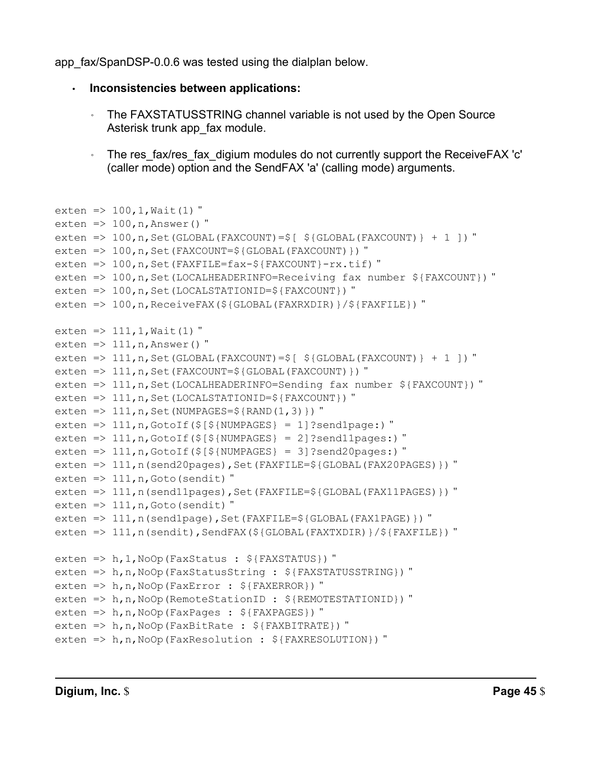app\_fax/SpanDSP-0.0.6 was tested using the dialplan below.

```
 
• Inconsistencies between applications:
```
- ◦ The FAXSTATUSSTRING channel variable is not used by the Open Source Asterisk trunk app\_fax module.
- ◦ The res\_fax/res\_fax\_digium modules do not currently support the ReceiveFAX 'c' (caller mode) option and the SendFAX 'a' (calling mode) arguments.

```
exten => 100, 1, Wait(1) "
exten \Rightarrow 100, n, Answer()"
exten => 100, n, Set (GLOBAL (FAXCOUNT) =\frac{5}{5} [ \frac{5}{5} (GLOBAL (FAXCOUNT) } + 1 ]) "
exten => 100, n, Set(FAXCOUNT=${GLOBAL(FAXCOUNT)}) "
exten => 100, n, Set (FAXFILE=fax-\S{FAXCOUNT}-rx.tif) "
exten => 100,n,Set(LOCALHEADERINFO=Receiving fax number ${FAXCOUNT}) "
exten => 100,n,Set(LOCALSTATIONID=${FAXCOUNT}) "
exten => 100,n,ReceiveFAX(${GLOBAL(FAXRXDIR)}/${FAXFILE}) "
exten => 111, 1, Wait(1) "
exten \Rightarrow 111, n, Answer()"
exten => 111, n, Set (GLOBAL (FAXCOUNT) =\frac{6}{3} [ \frac{2}{3} (GLOBAL (FAXCOUNT) } + 1 ]) "
exten => 111, n, Set (FAXCOUNT=\S{GLOBAL(FAXCOUNT)}) "
exten => 111, n, Set (LOCALHEADERINFO=Sending fax number ${FAXCOUNT}) "
exten => 111, n, Set (LOCALSTATIONID=${FAXCOUNT}) "
exten => 111, n, Set (NUMPAGES=\S{RAND(1,3)}) "
exten => 111, n, GotoIf(\S[\S{NUMPAGES} = 1]?send1page:) "
exten => 111, n, GotoIf(\frac{5}{5}[\frac{5}{5}[NUMPAGES} = 2]?send11pages:) "
exten => 111, n, GotoIf(\S[\S{NUMPAGES} = 3]?send20pages:) "
exten => 111, n(send20pages), Set(FAXFILE=${GLOBAL(FAX20PAGES)}) "
exten \Rightarrow 111, n, Goto (sendit) "
exten => 111, n(send11pages), Set(FAXFILE=${GLOBAL(FAX11PAGES)}) "
exten \Rightarrow 111, n, Goto (sendit) "
exten => 111, n(send1page), Set(FAXFILE=${GLOBAL(FAX1PAGE)}) "
exten => 111, n(sendit), SendFAX(${GLOBAL(FAXTXDIR)}/${FAXFILE}) "
exten => h,1,NoOp(FaxStatus : ${FAXSTATUS}) "
exten => h,n,NoOp(FaxStatusString : ${FAXSTATUSSTRING}) "
exten => h,n,NoOp(FaxError : ${FAXERROR}) "
exten => h,n,NoOp(RemoteStationID : ${REMOTESTATIONID}) "
exten => h,n,NoOp(FaxPages : ${FAXPAGES}) "
exten => h,n,NoOp(FaxBitRate : ${FAXBITRATE}) "
exten => h,n,NoOp(FaxResolution : ${FAXRESOLUTION}) "
```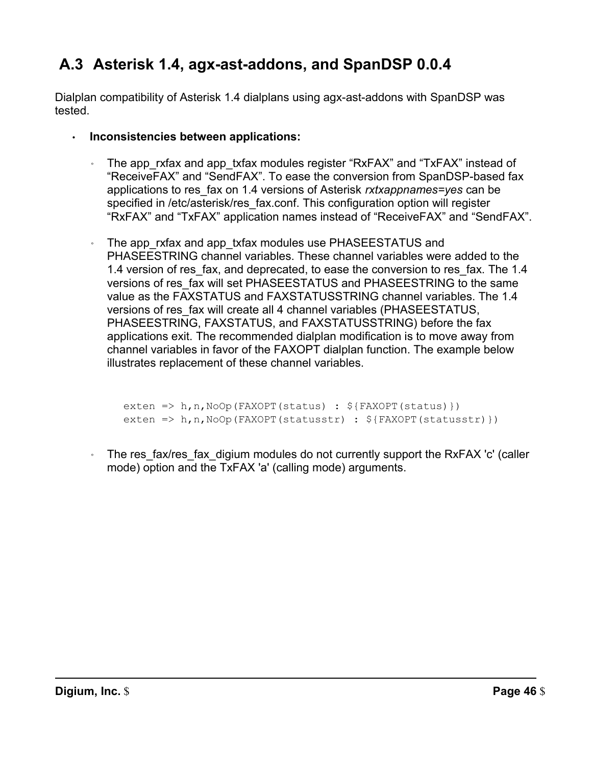# **A.3 Asterisk 1.4, agx-ast-addons, and SpanDSP 0.0.4**

 Dialplan compatibility of Asterisk 1.4 dialplans using agx-ast-addons with SpanDSP was tested.

- **Inconsistencies between applications:** 
	- ◦ The app\_rxfax and app\_txfax modules register "RxFAX" and "TxFAX" instead of "ReceiveFAX" and "SendFAX". To ease the conversion from SpanDSP-based fax applications to res\_fax on 1.4 versions of Asterisk *rxtxappnames=yes* can be specified in /etc/asterisk/res\_fax.conf. This configuration option will register "RxFAX" and "TxFAX" application names instead of "ReceiveFAX" and "SendFAX".
	- ◦ The app\_rxfax and app\_txfax modules use PHASEESTATUS and PHASEESTRING channel variables. These channel variables were added to the 1.4 version of res\_fax, and deprecated, to ease the conversion to res\_fax. The 1.4 versions of res\_fax will set PHASEESTATUS and PHASEESTRING to the same value as the FAXSTATUS and FAXSTATUSSTRING channel variables. The 1.4 versions of res\_fax will create all 4 channel variables (PHASEESTATUS, PHASEESTRING, FAXSTATUS, and FAXSTATUSSTRING) before the fax applications exit. The recommended dialplan modification is to move away from channel variables in favor of the FAXOPT dialplan function. The example below illustrates replacement of these channel variables.

```
exten => h,n,NoOp(FAXOPT(status) : ${FAXOPT(status)}) 
exten => h,n,NoOp(FAXOPT(statusstr) : ${FAXOPT(statusstr)})
```
 ◦ The res\_fax/res\_fax\_digium modules do not currently support the RxFAX 'c' (caller mode) option and the TxFAX 'a' (calling mode) arguments.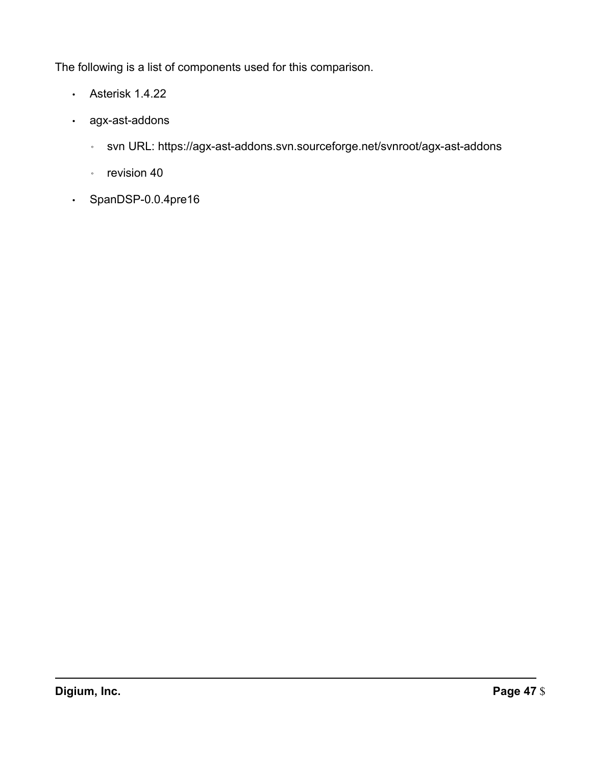The following is a list of components used for this comparison.

- Asterisk 1.4.22
- agx-ast-addons
	- svn URL: https://agx-ast-addons.svn.sourceforge.net/svnroot/agx-ast-addons
	- revision 40
- SpanDSP-0.0.4pre16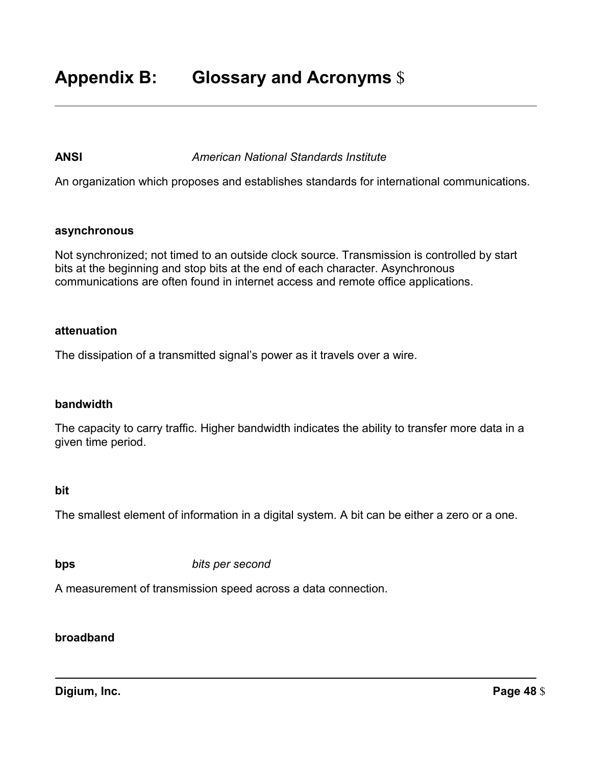### **ANSI** *American National Standards Institute*

An organization which proposes and establishes standards for international communications.

#### **asynchronous**

 Not synchronized; not timed to an outside clock source. Transmission is controlled by start bits at the beginning and stop bits at the end of each character. Asynchronous communications are often found in internet access and remote office applications.

#### **attenuation**

The dissipation of a transmitted signal's power as it travels over a wire.

#### **bandwidth**

 The capacity to carry traffic. Higher bandwidth indicates the ability to transfer more data in a given time period.

#### **bit**

The smallest element of information in a digital system. A bit can be either a zero or a one.

**bps** *bits per second* 

A measurement of transmission speed across a data connection.

### **broadband**

**Digium, Inc.** Page 48 \$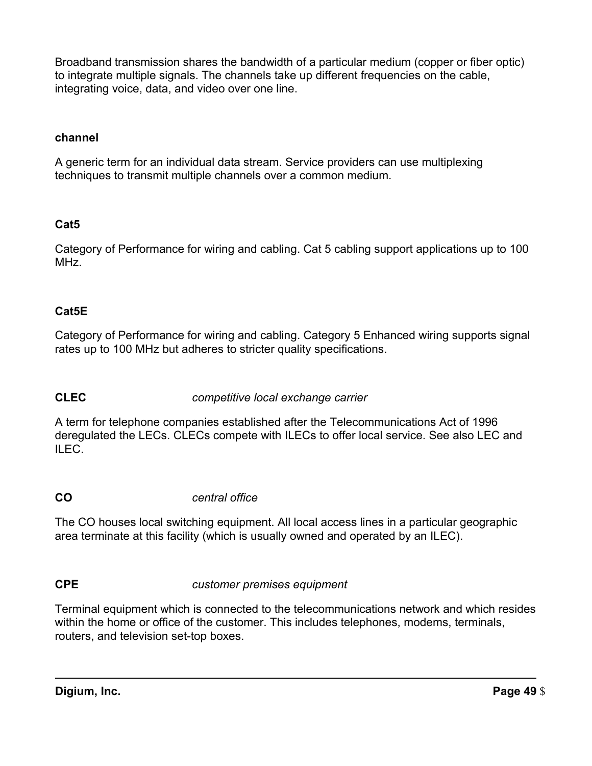Broadband transmission shares the bandwidth of a particular medium (copper or fiber optic) to integrate multiple signals. The channels take up different frequencies on the cable, integrating voice, data, and video over one line.

### **channel**

 A generic term for an individual data stream. Service providers can use multiplexing techniques to transmit multiple channels over a common medium.

# **Cat5**

 Category of Performance for wiring and cabling. Cat 5 cabling support applications up to 100 MHz.

# **Cat5E**

 Category of Performance for wiring and cabling. Category 5 Enhanced wiring supports signal rates up to 100 MHz but adheres to stricter quality specifications.

# **CLEC** *competitive local exchange carrier*

 A term for telephone companies established after the Telecommunications Act of 1996 deregulated the LECs. CLECs compete with ILECs to offer local service. See also LEC and ILEC.

# **CO** *central office*

 The CO houses local switching equipment. All local access lines in a particular geographic area terminate at this facility (which is usually owned and operated by an ILEC).

# **CPE** *customer premises equipment*

 Terminal equipment which is connected to the telecommunications network and which resides within the home or office of the customer. This includes telephones, modems, terminals, routers, and television set-top boxes.

**Digium, Inc.** Page 49 \$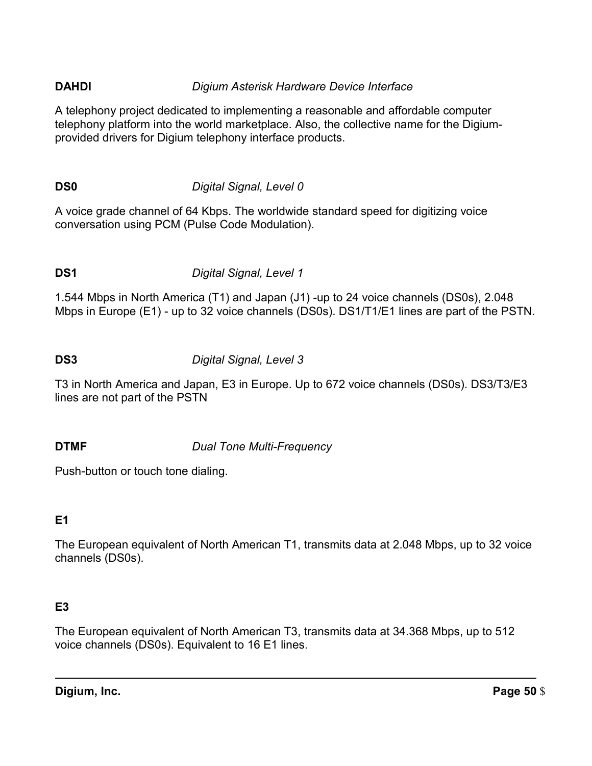# **DAHDI** *Digium Asterisk Hardware Device Interface*

 A telephony project dedicated to implementing a reasonable and affordable computer telephony platform into the world marketplace. Also, the collective name for the Digium-provided drivers for Digium telephony interface products.

# **DS0** *Digital Signal, Level 0*

 A voice grade channel of 64 Kbps. The worldwide standard speed for digitizing voice conversation using PCM (Pulse Code Modulation).

# **DS1** *Digital Signal, Level 1*

 1.544 Mbps in North America (T1) and Japan (J1) -up to 24 voice channels (DS0s), 2.048 Mbps in Europe (E1) - up to 32 voice channels (DS0s). DS1/T1/E1 lines are part of the PSTN.

### **DS3** *Digital Signal, Level 3*

 T3 in North America and Japan, E3 in Europe. Up to 672 voice channels (DS0s). DS3/T3/E3 lines are not part of the PSTN

# **DTMF** *Dual Tone Multi-Frequency*

Push-button or touch tone dialing.

# **E1**

 The European equivalent of North American T1, transmits data at 2.048 Mbps, up to 32 voice channels (DS0s).

# **E3**

 The European equivalent of North American T3, transmits data at 34.368 Mbps, up to 512 voice channels (DS0s). Equivalent to 16 E1 lines.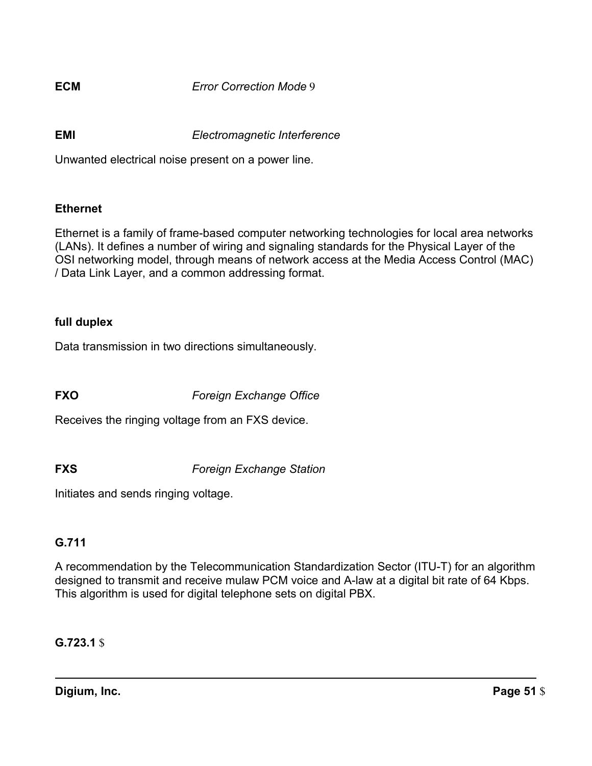**ECM** *Error Correction Mode* 9

**EMI** *Electromagnetic Interference* 

Unwanted electrical noise present on a power line.

### **Ethernet**

 Ethernet is a family of frame-based computer networking technologies for local area networks (LANs). It defines a number of wiring and signaling standards for the Physical Layer of the OSI networking model, through means of network access at the Media Access Control (MAC) / Data Link Layer, and a common addressing format.

### **full duplex**

Data transmission in two directions simultaneously.

 **FXO** *Foreign Exchange Office* 

Receives the ringing voltage from an FXS device.

 **FXS** *Foreign Exchange Station* 

Initiates and sends ringing voltage.

# **G.711**

 A recommendation by the Telecommunication Standardization Sector (ITU-T) for an algorithm designed to transmit and receive mulaw PCM voice and A-law at a digital bit rate of 64 Kbps. This algorithm is used for digital telephone sets on digital PBX.

**G.723.1** \$

**Digium, Inc.** Page 51 \$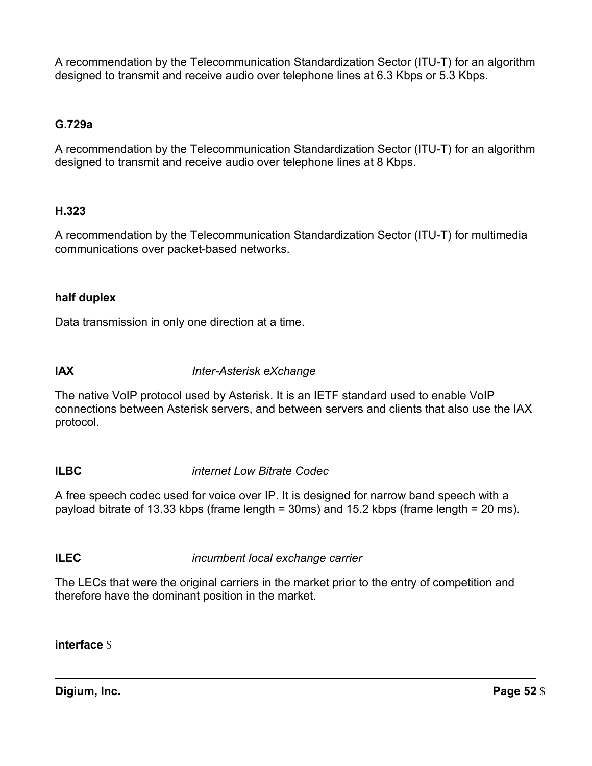A recommendation by the Telecommunication Standardization Sector (ITU-T) for an algorithm designed to transmit and receive audio over telephone lines at 6.3 Kbps or 5.3 Kbps.

### **G.729a**

 A recommendation by the Telecommunication Standardization Sector (ITU-T) for an algorithm designed to transmit and receive audio over telephone lines at 8 Kbps.

### **H.323**

 A recommendation by the Telecommunication Standardization Sector (ITU-T) for multimedia communications over packet-based networks.

### **half duplex**

Data transmission in only one direction at a time.

**IAX** *Inter-Asterisk eXchange* 

 The native VoIP protocol used by Asterisk. It is an IETF standard used to enable VoIP connections between Asterisk servers, and between servers and clients that also use the IAX protocol.

# **ILBC** *internet Low Bitrate Codec*

 A free speech codec used for voice over IP. It is designed for narrow band speech with a payload bitrate of 13.33 kbps (frame length = 30ms) and 15.2 kbps (frame length = 20 ms).

# **ILEC** *incumbent local exchange carrier*

 The LECs that were the original carriers in the market prior to the entry of competition and therefore have the dominant position in the market.

### **interface** \$

**Digium, Inc.** Page 52 \$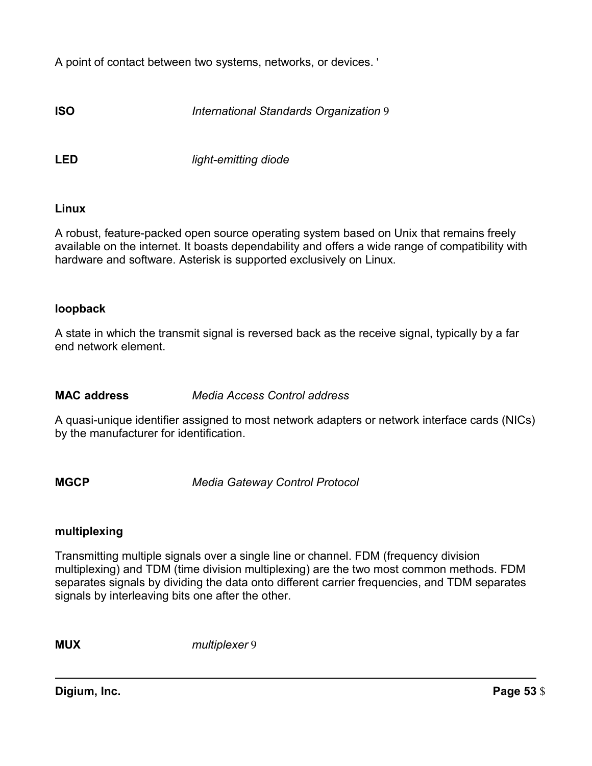A point of contact between two systems, networks, or devices. '

**ISO** *International Standards Organization* 9

**LED** *light-emitting diode* 

### **Linux**

 A robust, feature-packed open source operating system based on Unix that remains freely available on the internet. It boasts dependability and offers a wide range of compatibility with hardware and software. Asterisk is supported exclusively on Linux.

### **loopback**

 A state in which the transmit signal is reversed back as the receive signal, typically by a far end network element.

### **MAC address** *Media Access Control address*

 A quasi-unique identifier assigned to most network adapters or network interface cards (NICs) by the manufacturer for identification.

 **MGCP** *Media Gateway Control Protocol* 

### **multiplexing**

 Transmitting multiple signals over a single line or channel. FDM (frequency division multiplexing) and TDM (time division multiplexing) are the two most common methods. FDM separates signals by dividing the data onto different carrier frequencies, and TDM separates signals by interleaving bits one after the other.

**MUX** *multiplexer* 9

**Digium, Inc.** Page 53 \$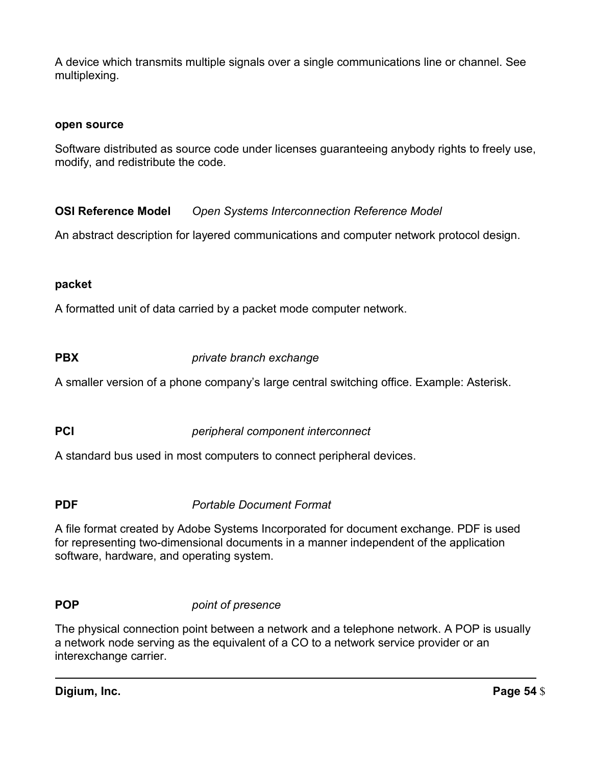A device which transmits multiple signals over a single communications line or channel. See multiplexing.

### **open source**

 Software distributed as source code under licenses guaranteeing anybody rights to freely use, modify, and redistribute the code.

**OSI Reference Model Open Systems Interconnection Reference Model** 

An abstract description for layered communications and computer network protocol design.

### **packet**

A formatted unit of data carried by a packet mode computer network.

**PBX** *private branch exchange* 

A smaller version of a phone company's large central switching office. Example: Asterisk.

 **PCI** *peripheral component interconnect* 

A standard bus used in most computers to connect peripheral devices.

 **PDF** *Portable Document Format* 

 A file format created by Adobe Systems Incorporated for document exchange. PDF is used for representing two-dimensional documents in a manner independent of the application software, hardware, and operating system.

### **POP** *point of presence*

 The physical connection point between a network and a telephone network. A POP is usually a network node serving as the equivalent of a CO to a network service provider or an interexchange carrier.

**Digium, Inc.** Page 54 \$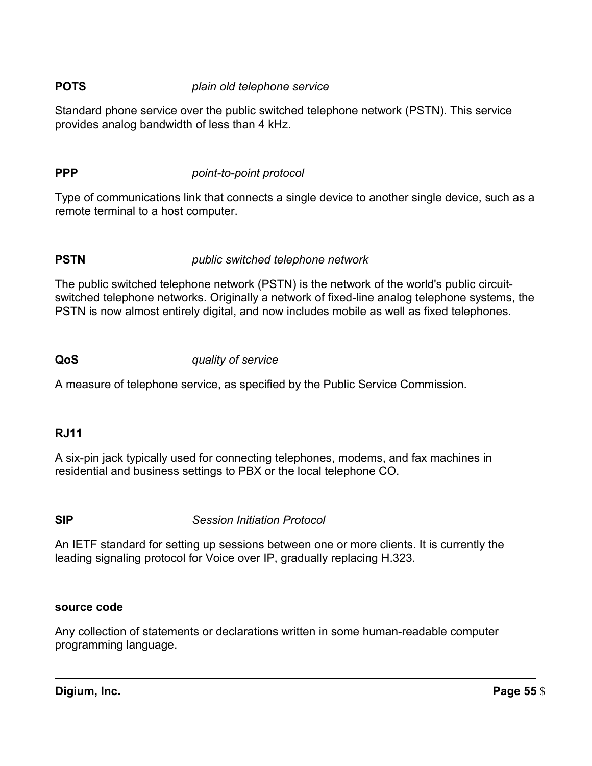# **POTS** *plain old telephone service*

 Standard phone service over the public switched telephone network (PSTN). This service provides analog bandwidth of less than 4 kHz.

# **PPP** *point-to-point protocol*

 Type of communications link that connects a single device to another single device, such as a remote terminal to a host computer.

# **PSTN** *public switched telephone network*

 The public switched telephone network (PSTN) is the network of the world's public circuit- switched telephone networks. Originally a network of fixed-line analog telephone systems, the PSTN is now almost entirely digital, and now includes mobile as well as fixed telephones.

### **QoS** *quality of service*

A measure of telephone service, as specified by the Public Service Commission.

# **RJ11**

 A six-pin jack typically used for connecting telephones, modems, and fax machines in residential and business settings to PBX or the local telephone CO.

 **SIP** *Session Initiation Protocol* 

 An IETF standard for setting up sessions between one or more clients. It is currently the leading signaling protocol for Voice over IP, gradually replacing H.323.

### **source code**

 Any collection of statements or declarations written in some human-readable computer programming language.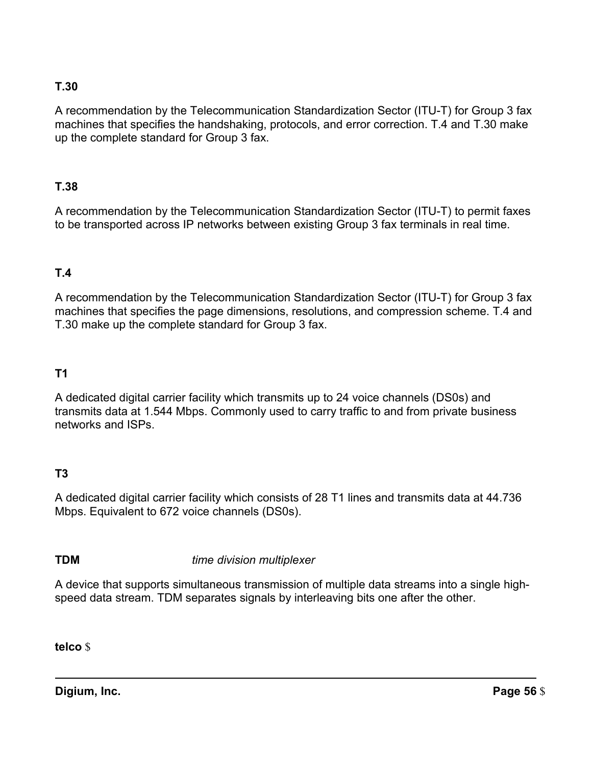# **T.30**

 A recommendation by the Telecommunication Standardization Sector (ITU-T) for Group 3 fax machines that specifies the handshaking, protocols, and error correction. T.4 and T.30 make up the complete standard for Group 3 fax.

### **T.38**

 A recommendation by the Telecommunication Standardization Sector (ITU-T) to permit faxes to be transported across IP networks between existing Group 3 fax terminals in real time.

# **T.4**

 A recommendation by the Telecommunication Standardization Sector (ITU-T) for Group 3 fax machines that specifies the page dimensions, resolutions, and compression scheme. T.4 and T.30 make up the complete standard for Group 3 fax.

# **T1**

 A dedicated digital carrier facility which transmits up to 24 voice channels (DS0s) and transmits data at 1.544 Mbps. Commonly used to carry traffic to and from private business networks and ISPs.

# **T3**

 A dedicated digital carrier facility which consists of 28 T1 lines and transmits data at 44.736 Mbps. Equivalent to 672 voice channels (DS0s).

 **TDM** *time division multiplexer* 

 A device that supports simultaneous transmission of multiple data streams into a single high-speed data stream. TDM separates signals by interleaving bits one after the other.

**telco** \$

**Digium, Inc.** Page 56 \$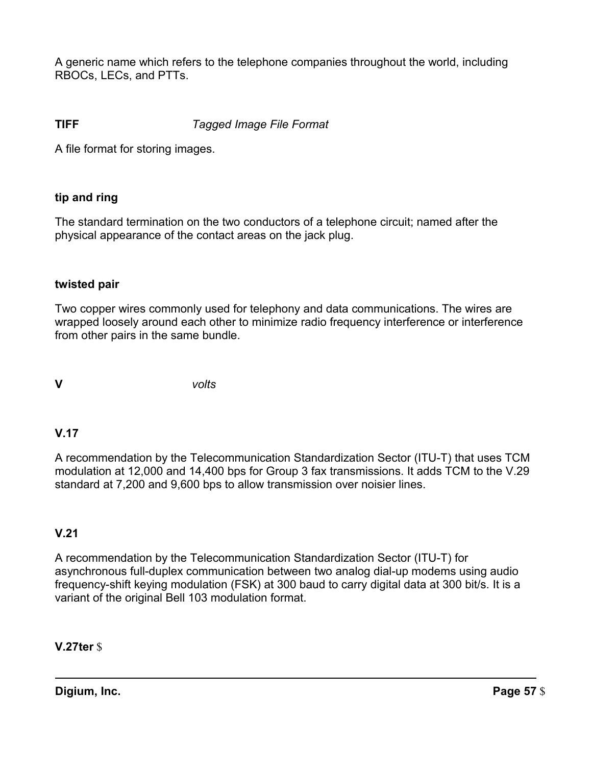A generic name which refers to the telephone companies throughout the world, including RBOCs, LECs, and PTTs.

# **TIFF** *Tagged Image File Format*

A file format for storing images.

# **tip and ring**

 The standard termination on the two conductors of a telephone circuit; named after the physical appearance of the contact areas on the jack plug.

# **twisted pair**

 Two copper wires commonly used for telephony and data communications. The wires are wrapped loosely around each other to minimize radio frequency interference or interference from other pairs in the same bundle.

**V** *volts* 

# **V.17**

 A recommendation by the Telecommunication Standardization Sector (ITU-T) that uses TCM modulation at 12,000 and 14,400 bps for Group 3 fax transmissions. It adds TCM to the V.29 standard at 7,200 and 9,600 bps to allow transmission over noisier lines.

# **V.21**

 A recommendation by the Telecommunication Standardization Sector (ITU-T) for asynchronous full-duplex communication between two analog dial-up modems using audio frequency-shift keying modulation (FSK) at 300 baud to carry digital data at 300 bit/s. It is a variant of the original Bell 103 modulation format.

**V.27ter** \$

**Digium, Inc.** Page 57 \$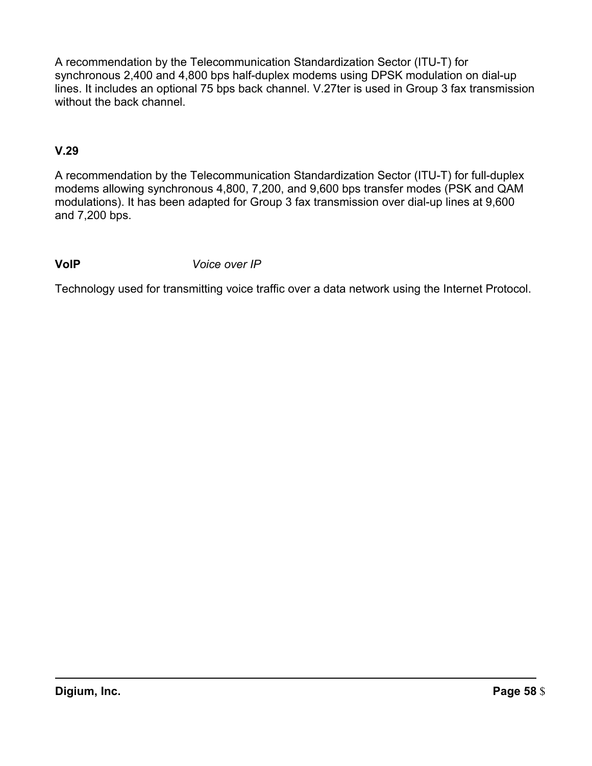A recommendation by the Telecommunication Standardization Sector (ITU-T) for synchronous 2,400 and 4,800 bps half-duplex modems using DPSK modulation on dial-up lines. It includes an optional 75 bps back channel. V.27ter is used in Group 3 fax transmission without the back channel.

# **V.29**

 A recommendation by the Telecommunication Standardization Sector (ITU-T) for full-duplex modems allowing synchronous 4,800, 7,200, and 9,600 bps transfer modes (PSK and QAM modulations). It has been adapted for Group 3 fax transmission over dial-up lines at 9,600 and 7,200 bps.

# **VoIP** *Voice over IP*

Technology used for transmitting voice traffic over a data network using the Internet Protocol.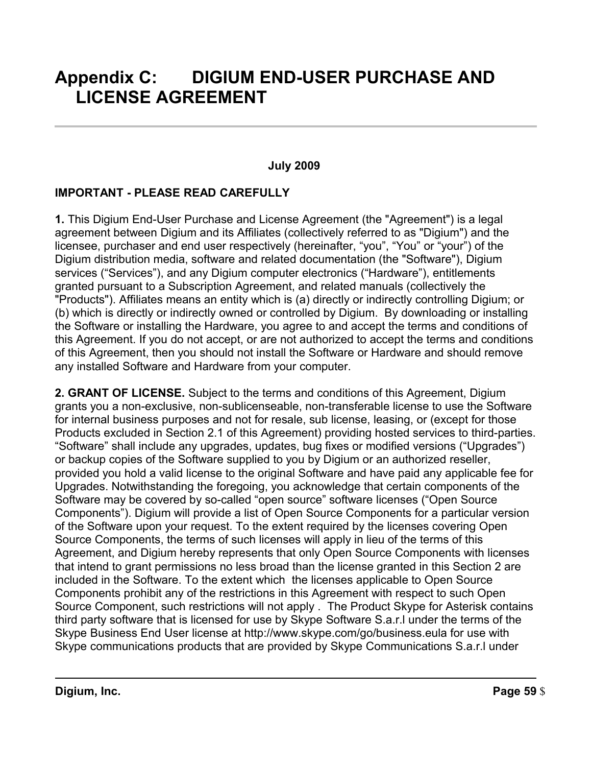# **Appendix C: DIGIUM END-USER PURCHASE AND LICENSE AGREEMENT**

### **July 2009**

# **IMPORTANT - PLEASE READ CAREFULLY**

 **1.** This Digium End-User Purchase and License Agreement (the "Agreement") is a legal agreement between Digium and its Affiliates (collectively referred to as "Digium") and the licensee, purchaser and end user respectively (hereinafter, "you", "You" or "your") of the Digium distribution media, software and related documentation (the "Software"), Digium services ("Services"), and any Digium computer electronics ("Hardware"), entitlements granted pursuant to a Subscription Agreement, and related manuals (collectively the "Products"). Affiliates means an entity which is (a) directly or indirectly controlling Digium; or (b) which is directly or indirectly owned or controlled by Digium. By downloading or installing the Software or installing the Hardware, you agree to and accept the terms and conditions of this Agreement. If you do not accept, or are not authorized to accept the terms and conditions of this Agreement, then you should not install the Software or Hardware and should remove any installed Software and Hardware from your computer.

 **2. GRANT OF LICENSE.** Subject to the terms and conditions of this Agreement, Digium grants you a non-exclusive, non-sublicenseable, non-transferable license to use the Software for internal business purposes and not for resale, sub license, leasing, or (except for those Products excluded in Section 2.1 of this Agreement) providing hosted services to third-parties. "Software" shall include any upgrades, updates, bug fixes or modified versions ("Upgrades") or backup copies of the Software supplied to you by Digium or an authorized reseller, provided you hold a valid license to the original Software and have paid any applicable fee for Upgrades. Notwithstanding the foregoing, you acknowledge that certain components of the Software may be covered by so-called "open source" software licenses ("Open Source Components"). Digium will provide a list of Open Source Components for a particular version of the Software upon your request. To the extent required by the licenses covering Open Source Components, the terms of such licenses will apply in lieu of the terms of this Agreement, and Digium hereby represents that only Open Source Components with licenses that intend to grant permissions no less broad than the license granted in this Section 2 are included in the Software. To the extent which the licenses applicable to Open Source Components prohibit any of the restrictions in this Agreement with respect to such Open Source Component, such restrictions will not apply . The Product Skype for Asterisk contains third party software that is licensed for use by Skype Software S.a.r.l under the terms of the Skype Business End User license at http://www.skype.com/go/business.eula for use with Skype communications products that are provided by Skype Communications S.a.r.l under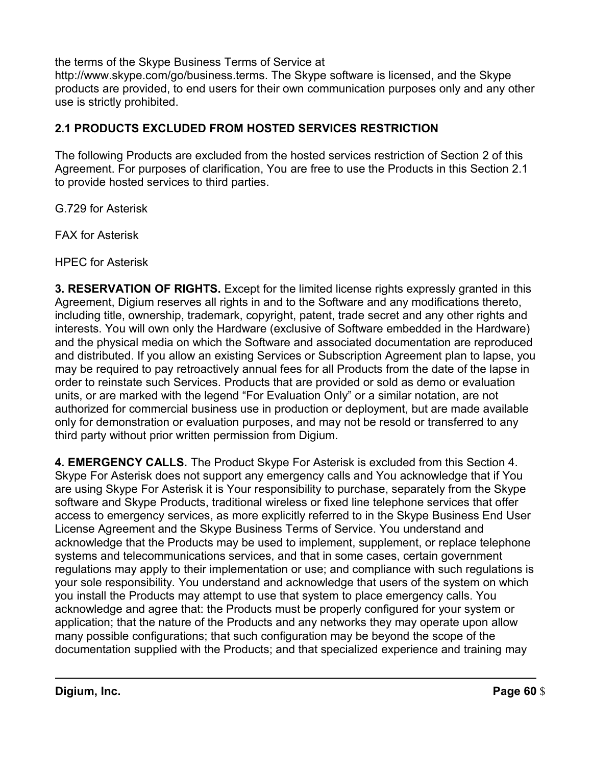the terms of the Skype Business Terms of Service at

 http://www.skype.com/go/business.terms. The Skype software is licensed, and the Skype products are provided, to end users for their own communication purposes only and any other use is strictly prohibited.

# **2.1 PRODUCTS EXCLUDED FROM HOSTED SERVICES RESTRICTION**

 The following Products are excluded from the hosted services restriction of Section 2 of this Agreement. For purposes of clarification, You are free to use the Products in this Section 2.1 to provide hosted services to third parties.

G.729 for Asterisk

FAX for Asterisk

HPEC for Asterisk

 **3. RESERVATION OF RIGHTS.** Except for the limited license rights expressly granted in this Agreement, Digium reserves all rights in and to the Software and any modifications thereto, including title, ownership, trademark, copyright, patent, trade secret and any other rights and interests. You will own only the Hardware (exclusive of Software embedded in the Hardware) and the physical media on which the Software and associated documentation are reproduced may be required to pay retroactively annual fees for all Products from the date of the lapse in order to reinstate such Services. Products that are provided or sold as demo or evaluation units, or are marked with the legend "For Evaluation Only" or a similar notation, are not authorized for commercial business use in production or deployment, but are made available only for demonstration or evaluation purposes, and may not be resold or transferred to any third party without prior written permission from Digium. and distributed. If you allow an existing Services or Subscription Agreement plan to lapse, you

 **4. EMERGENCY CALLS.** The Product Skype For Asterisk is excluded from this Section 4. Skype For Asterisk does not support any emergency calls and You acknowledge that if You are using Skype For Asterisk it is Your responsibility to purchase, separately from the Skype software and Skype Products, traditional wireless or fixed line telephone services that offer access to emergency services, as more explicitly referred to in the Skype Business End User License Agreement and the Skype Business Terms of Service. You understand and acknowledge that the Products may be used to implement, supplement, or replace telephone systems and telecommunications services, and that in some cases, certain government regulations may apply to their implementation or use; and compliance with such regulations is your sole responsibility. You understand and acknowledge that users of the system on which you install the Products may attempt to use that system to place emergency calls. You acknowledge and agree that: the Products must be properly configured for your system or application; that the nature of the Products and any networks they may operate upon allow many possible configurations; that such configuration may be beyond the scope of the documentation supplied with the Products; and that specialized experience and training may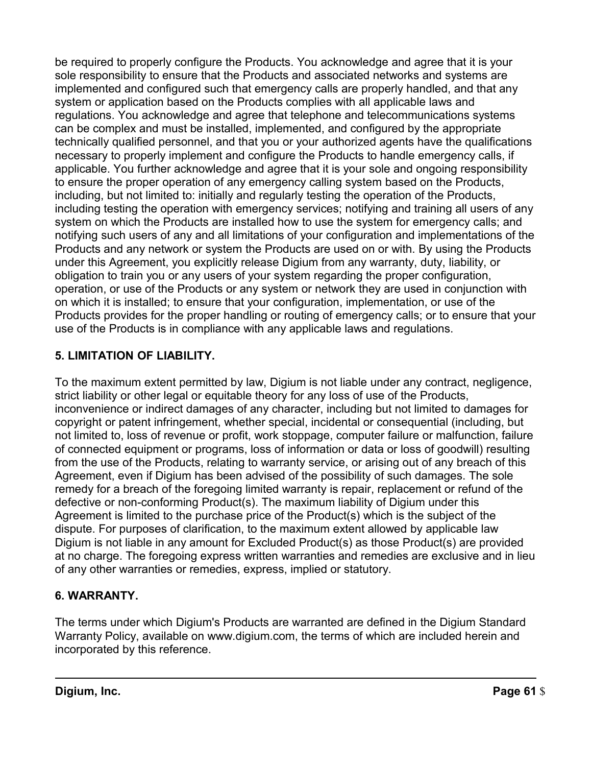be required to properly configure the Products. You acknowledge and agree that it is your sole responsibility to ensure that the Products and associated networks and systems are implemented and configured such that emergency calls are properly handled, and that any system or application based on the Products complies with all applicable laws and regulations. You acknowledge and agree that telephone and telecommunications systems can be complex and must be installed, implemented, and configured by the appropriate technically qualified personnel, and that you or your authorized agents have the qualifications necessary to properly implement and configure the Products to handle emergency calls, if applicable. You further acknowledge and agree that it is your sole and ongoing responsibility to ensure the proper operation of any emergency calling system based on the Products, including, but not limited to: initially and regularly testing the operation of the Products, including testing the operation with emergency services; notifying and training all users of any system on which the Products are installed how to use the system for emergency calls; and notifying such users of any and all limitations of your configuration and implementations of the Products and any network or system the Products are used on or with. By using the Products under this Agreement, you explicitly release Digium from any warranty, duty, liability, or obligation to train you or any users of your system regarding the proper configuration, operation, or use of the Products or any system or network they are used in conjunction with on which it is installed; to ensure that your configuration, implementation, or use of the Products provides for the proper handling or routing of emergency calls; or to ensure that your use of the Products is in compliance with any applicable laws and regulations.

# **5. LIMITATION OF LIABILITY.**

 To the maximum extent permitted by law, Digium is not liable under any contract, negligence, strict liability or other legal or equitable theory for any loss of use of the Products, inconvenience or indirect damages of any character, including but not limited to damages for copyright or patent infringement, whether special, incidental or consequential (including, but not limited to, loss of revenue or profit, work stoppage, computer failure or malfunction, failure of connected equipment or programs, loss of information or data or loss of goodwill) resulting from the use of the Products, relating to warranty service, or arising out of any breach of this Agreement, even if Digium has been advised of the possibility of such damages. The sole remedy for a breach of the foregoing limited warranty is repair, replacement or refund of the defective or non-conforming Product(s). The maximum liability of Digium under this Agreement is limited to the purchase price of the Product(s) which is the subject of the dispute. For purposes of clarification, to the maximum extent allowed by applicable law Digium is not liable in any amount for Excluded Product(s) as those Product(s) are provided at no charge. The foregoing express written warranties and remedies are exclusive and in lieu of any other warranties or remedies, express, implied or statutory.

# **6. WARRANTY.**

 The terms under which Digium's Products are warranted are defined in the Digium Standard Warranty Policy, available on www.digium.com, the terms of which are included herein and incorporated by this reference.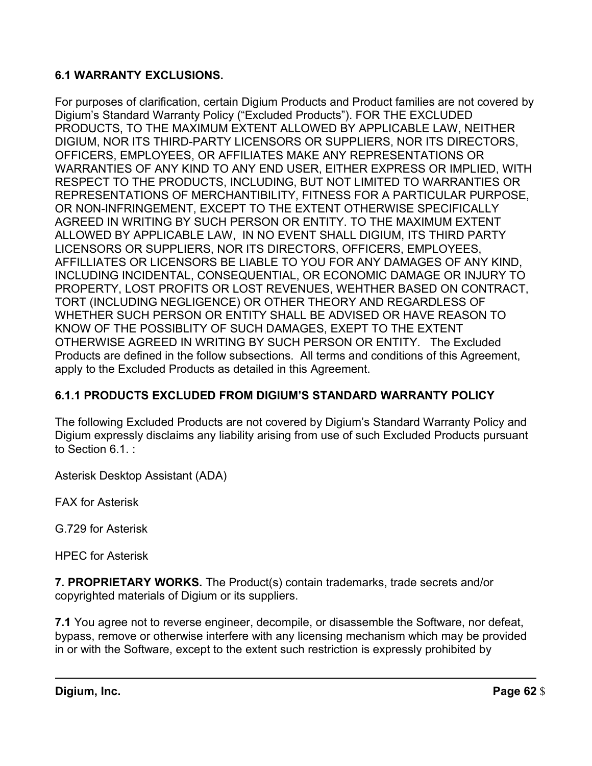# **6.1 WARRANTY EXCLUSIONS.**

 For purposes of clarification, certain Digium Products and Product families are not covered by Digium's Standard Warranty Policy ("Excluded Products"). FOR THE EXCLUDED PRODUCTS, TO THE MAXIMUM EXTENT ALLOWED BY APPLICABLE LAW, NEITHER DIGIUM, NOR ITS THIRD-PARTY LICENSORS OR SUPPLIERS, NOR ITS DIRECTORS, OFFICERS, EMPLOYEES, OR AFFILIATES MAKE ANY REPRESENTATIONS OR WARRANTIES OF ANY KIND TO ANY END USER, EITHER EXPRESS OR IMPLIED, WITH RESPECT TO THE PRODUCTS, INCLUDING, BUT NOT LIMITED TO WARRANTIES OR REPRESENTATIONS OF MERCHANTIBILITY, FITNESS FOR A PARTICULAR PURPOSE, OR NON-INFRINGEMENT, EXCEPT TO THE EXTENT OTHERWISE SPECIFICALLY AGREED IN WRITING BY SUCH PERSON OR ENTITY. TO THE MAXIMUM EXTENT ALLOWED BY APPLICABLE LAW, IN NO EVENT SHALL DIGIUM, ITS THIRD PARTY LICENSORS OR SUPPLIERS, NOR ITS DIRECTORS, OFFICERS, EMPLOYEES, AFFILLIATES OR LICENSORS BE LIABLE TO YOU FOR ANY DAMAGES OF ANY KIND, INCLUDING INCIDENTAL, CONSEQUENTIAL, OR ECONOMIC DAMAGE OR INJURY TO PROPERTY, LOST PROFITS OR LOST REVENUES, WEHTHER BASED ON CONTRACT, TORT (INCLUDING NEGLIGENCE) OR OTHER THEORY AND REGARDLESS OF WHETHER SUCH PERSON OR ENTITY SHALL BE ADVISED OR HAVE REASON TO KNOW OF THE POSSIBLITY OF SUCH DAMAGES, EXEPT TO THE EXTENT OTHERWISE AGREED IN WRITING BY SUCH PERSON OR ENTITY. The Excluded Products are defined in the follow subsections. All terms and conditions of this Agreement, apply to the Excluded Products as detailed in this Agreement.

# **6.1.1 PRODUCTS EXCLUDED FROM DIGIUM'S STANDARD WARRANTY POLICY**

 The following Excluded Products are not covered by Digium's Standard Warranty Policy and Digium expressly disclaims any liability arising from use of such Excluded Products pursuant to Section 6.1. :

Asterisk Desktop Assistant (ADA)

FAX for Asterisk

G.729 for Asterisk

HPEC for Asterisk

 **7. PROPRIETARY WORKS.** The Product(s) contain trademarks, trade secrets and/or copyrighted materials of Digium or its suppliers.

 **7.1** You agree not to reverse engineer, decompile, or disassemble the Software, nor defeat, bypass, remove or otherwise interfere with any licensing mechanism which may be provided in or with the Software, except to the extent such restriction is expressly prohibited by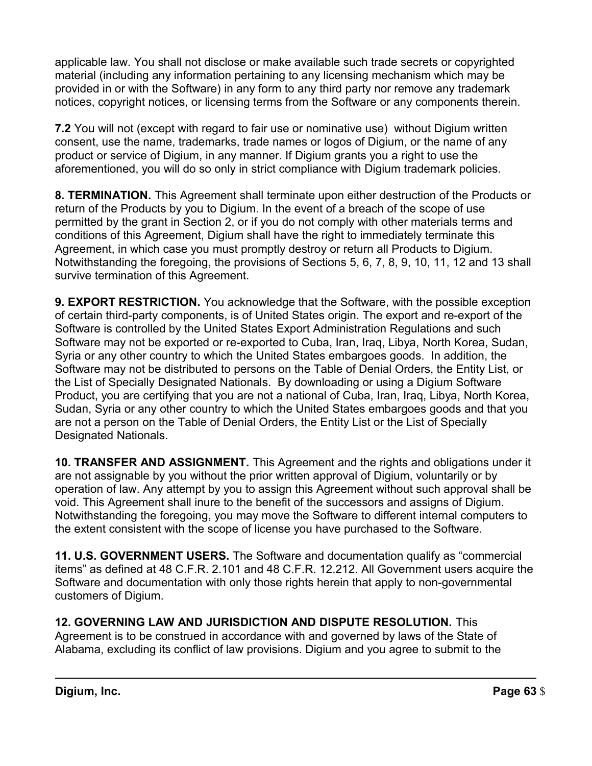applicable law. You shall not disclose or make available such trade secrets or copyrighted material (including any information pertaining to any licensing mechanism which may be provided in or with the Software) in any form to any third party nor remove any trademark notices, copyright notices, or licensing terms from the Software or any components therein.

 **7.2** You will not (except with regard to fair use or nominative use) without Digium written consent, use the name, trademarks, trade names or logos of Digium, or the name of any product or service of Digium, in any manner. If Digium grants you a right to use the aforementioned, you will do so only in strict compliance with Digium trademark policies.

 **8. TERMINATION.** This Agreement shall terminate upon either destruction of the Products or return of the Products by you to Digium. In the event of a breach of the scope of use permitted by the grant in Section 2, or if you do not comply with other materials terms and conditions of this Agreement, Digium shall have the right to immediately terminate this Agreement, in which case you must promptly destroy or return all Products to Digium. Notwithstanding the foregoing, the provisions of Sections 5, 6, 7, 8, 9, 10, 11, 12 and 13 shall survive termination of this Agreement.

 **9. EXPORT RESTRICTION.** You acknowledge that the Software, with the possible exception of certain third-party components, is of United States origin. The export and re-export of the Software is controlled by the United States Export Administration Regulations and such Software may not be exported or re-exported to Cuba, Iran, Iraq, Libya, North Korea, Sudan, Syria or any other country to which the United States embargoes goods. In addition, the Software may not be distributed to persons on the Table of Denial Orders, the Entity List, or the List of Specially Designated Nationals. By downloading or using a Digium Software Product, you are certifying that you are not a national of Cuba, Iran, Iraq, Libya, North Korea, Sudan, Syria or any other country to which the United States embargoes goods and that you are not a person on the Table of Denial Orders, the Entity List or the List of Specially Designated Nationals.

 **10. TRANSFER AND ASSIGNMENT.** This Agreement and the rights and obligations under it are not assignable by you without the prior written approval of Digium, voluntarily or by operation of law. Any attempt by you to assign this Agreement without such approval shall be void. This Agreement shall inure to the benefit of the successors and assigns of Digium. Notwithstanding the foregoing, you may move the Software to different internal computers to the extent consistent with the scope of license you have purchased to the Software.

 **11. U.S. GOVERNMENT USERS.** The Software and documentation qualify as "commercial items" as defined at 48 C.F.R. 2.101 and 48 C.F.R. 12.212. All Government users acquire the Software and documentation with only those rights herein that apply to non-governmental customers of Digium.

 **12. GOVERNING LAW AND JURISDICTION AND DISPUTE RESOLUTION.** This Agreement is to be construed in accordance with and governed by laws of the State of Alabama, excluding its conflict of law provisions. Digium and you agree to submit to the